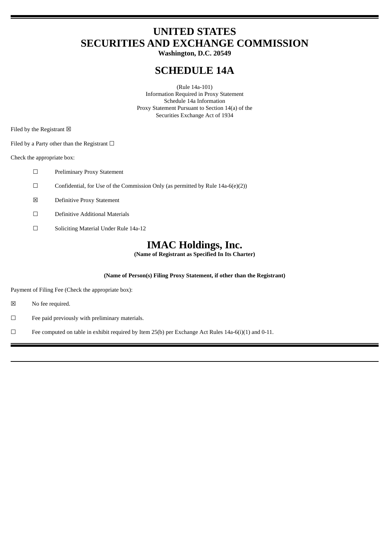# **UNITED STATES SECURITIES AND EXCHANGE COMMISSION**

**Washington, D.C. 20549**

# **SCHEDULE 14A**

(Rule 14a-101) Information Required in Proxy Statement Schedule 14a Information Proxy Statement Pursuant to Section 14(a) of the Securities Exchange Act of 1934

Filed by the Registrant  $\boxtimes$ 

Filed by a Party other than the Registrant  $\Box$ 

Check the appropriate box:

- ☐ Preliminary Proxy Statement
- ☐ Confidential, for Use of the Commission Only (as permitted by Rule 14a-6(e)(2))
- ☒ Definitive Proxy Statement
- ☐ Definitive Additional Materials
- ☐ Soliciting Material Under Rule 14a-12

# **IMAC Holdings, Inc.**

**(Name of Registrant as Specified In Its Charter)**

# **(Name of Person(s) Filing Proxy Statement, if other than the Registrant)**

Payment of Filing Fee (Check the appropriate box):

- ☒ No fee required.
- ☐ Fee paid previously with preliminary materials.
- □ Fee computed on table in exhibit required by Item 25(b) per Exchange Act Rules 14a-6(i)(1) and 0-11.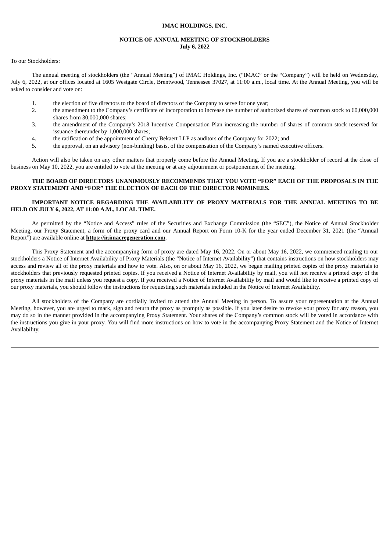## **IMAC HOLDINGS, INC.**

# **NOTICE OF ANNUAL MEETING OF STOCKHOLDERS July 6, 2022**

To our Stockholders:

The annual meeting of stockholders (the "Annual Meeting") of IMAC Holdings, Inc. ("IMAC" or the "Company") will be held on Wednesday, July 6, 2022, at our offices located at 1605 Westgate Circle, Brentwood, Tennessee 37027, at 11:00 a.m., local time. At the Annual Meeting, you will be asked to consider and vote on:

- 1. the election of five directors to the board of directors of the Company to serve for one year;
- 2. the amendment to the Company's certificate of incorporation to increase the number of authorized shares of common stock to 60,000,000 shares from 30,000,000 shares;
- 3. the amendment of the Company's 2018 Incentive Compensation Plan increasing the number of shares of common stock reserved for issuance thereunder by 1,000,000 shares;
- 4. the ratification of the appointment of Cherry Bekaert LLP as auditors of the Company for 2022; and
- 5. the approval, on an advisory (non-binding) basis, of the compensation of the Company's named executive officers.

Action will also be taken on any other matters that properly come before the Annual Meeting. If you are a stockholder of record at the close of business on May 10, 2022, you are entitled to vote at the meeting or at any adjournment or postponement of the meeting.

# **THE BOARD OF DIRECTORS UNANIMOUSLY RECOMMENDS THAT YOU VOTE "FOR" EACH OF THE PROPOSALS IN THE PROXY STATEMENT AND "FOR" THE ELECTION OF EACH OF THE DIRECTOR NOMINEES.**

# **IMPORTANT NOTICE REGARDING THE AVAILABILITY OF PROXY MATERIALS FOR THE ANNUAL MEETING TO BE HELD ON JULY 6, 2022, AT 11:00 A.M., LOCAL TIME.**

As permitted by the "Notice and Access" rules of the Securities and Exchange Commission (the "SEC"), the Notice of Annual Stockholder Meeting, our Proxy Statement, a form of the proxy card and our Annual Report on Form 10-K for the year ended December 31, 2021 (the "Annual Report") are available online at **https://ir.imacregeneration.com**.

This Proxy Statement and the accompanying form of proxy are dated May 16, 2022. On or about May 16, 2022, we commenced mailing to our stockholders a Notice of Internet Availability of Proxy Materials (the "Notice of Internet Availability") that contains instructions on how stockholders may access and review all of the proxy materials and how to vote. Also, on or about May 16, 2022, we began mailing printed copies of the proxy materials to stockholders that previously requested printed copies. If you received a Notice of Internet Availability by mail, you will not receive a printed copy of the proxy materials in the mail unless you request a copy. If you received a Notice of Internet Availability by mail and would like to receive a printed copy of our proxy materials, you should follow the instructions for requesting such materials included in the Notice of Internet Availability.

All stockholders of the Company are cordially invited to attend the Annual Meeting in person. To assure your representation at the Annual Meeting, however, you are urged to mark, sign and return the proxy as promptly as possible. If you later desire to revoke your proxy for any reason, you may do so in the manner provided in the accompanying Proxy Statement. Your shares of the Company's common stock will be voted in accordance with the instructions you give in your proxy. You will find more instructions on how to vote in the accompanying Proxy Statement and the Notice of Internet Availability.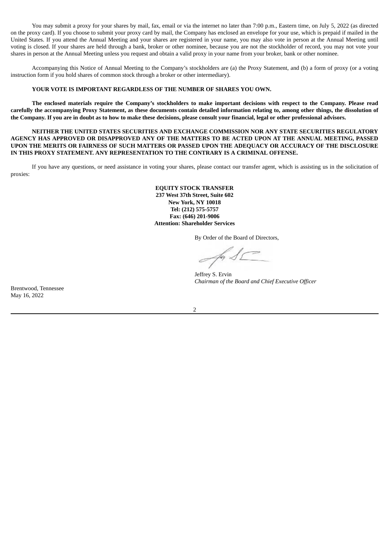You may submit a proxy for your shares by mail, fax, email or via the internet no later than 7:00 p.m., Eastern time, on July 5, 2022 (as directed on the proxy card). If you choose to submit your proxy card by mail, the Company has enclosed an envelope for your use, which is prepaid if mailed in the United States. If you attend the Annual Meeting and your shares are registered in your name, you may also vote in person at the Annual Meeting until voting is closed. If your shares are held through a bank, broker or other nominee, because you are not the stockholder of record, you may not vote your shares in person at the Annual Meeting unless you request and obtain a valid proxy in your name from your broker, bank or other nominee.

Accompanying this Notice of Annual Meeting to the Company's stockholders are (a) the Proxy Statement, and (b) a form of proxy (or a voting instruction form if you hold shares of common stock through a broker or other intermediary).

# **YOUR VOTE IS IMPORTANT REGARDLESS OF THE NUMBER OF SHARES YOU OWN.**

The enclosed materials require the Company's stockholders to make important decisions with respect to the Company. Please read carefully the accompanying Proxy Statement, as these documents contain detailed information relating to, among other things, the dissolution of the Company. If you are in doubt as to how to make these decisions, please consult your financial, legal or other professional advisors.

**NEITHER THE UNITED STATES SECURITIES AND EXCHANGE COMMISSION NOR ANY STATE SECURITIES REGULATORY** AGENCY HAS APPROVED OR DISAPPROVED ANY OF THE MATTERS TO BE ACTED UPON AT THE ANNUAL MEETING, PASSED UPON THE MERITS OR FAIRNESS OF SUCH MATTERS OR PASSED UPON THE ADEQUACY OR ACCURACY OF THE DISCLOSURE **IN THIS PROXY STATEMENT. ANY REPRESENTATION TO THE CONTRARY IS A CRIMINAL OFFENSE.**

If you have any questions, or need assistance in voting your shares, please contact our transfer agent, which is assisting us in the solicitation of proxies:

> **EQUITY STOCK TRANSFER 237 West 37th Street, Suite 602 New York, NY 10018 Tel: (212) 575-5757 Fax: (646) 201-9006 Attention: Shareholder Services**

> > By Order of the Board of Directors,

Jeffrey S. Ervin *Chairman of the Board and Chief Executive Officer*

Brentwood, Tennessee May 16, 2022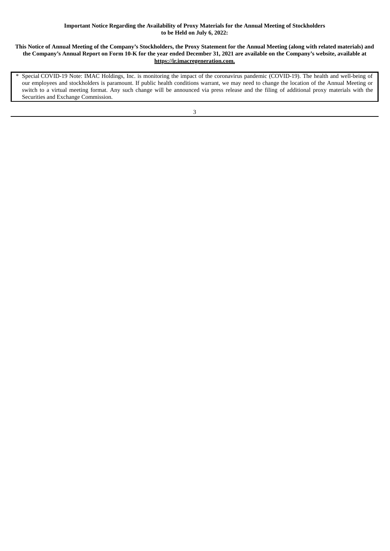# **Important Notice Regarding the Availability of Proxy Materials for the Annual Meeting of Stockholders to be Held on July 6, 2022:**

# This Notice of Annual Meeting of the Company's Stockholders, the Proxy Statement for the Annual Meeting (along with related materials) and the Company's Annual Report on Form 10-K for the year ended December 31, 2021 are available on the Company's website, available at **https://ir.imacregeneration.com.**

Special COVID-19 Note: IMAC Holdings, Inc. is monitoring the impact of the coronavirus pandemic (COVID-19). The health and well-being of our employees and stockholders is paramount. If public health conditions warrant, we may need to change the location of the Annual Meeting or switch to a virtual meeting format. Any such change will be announced via press release and the filing of additional proxy materials with the Securities and Exchange Commission.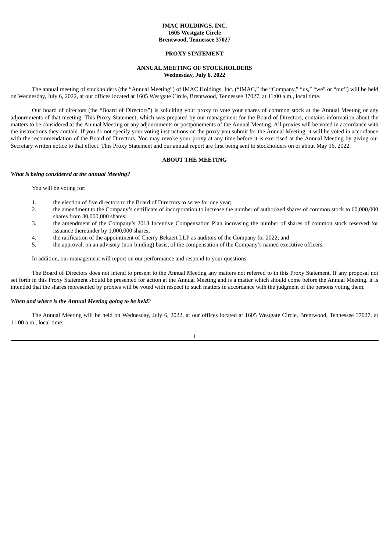# **IMAC HOLDINGS, INC. 1605 Westgate Circle Brentwood, Tennessee 37027**

# **PROXY STATEMENT**

# **ANNUAL MEETING OF STOCKHOLDERS Wednesday, July 6, 2022**

The annual meeting of stockholders (the "Annual Meeting") of IMAC Holdings, Inc. ("IMAC," the "Company," "us," "we" or "our") will be held on Wednesday, July 6, 2022, at our offices located at 1605 Westgate Circle, Brentwood, Tennessee 37027, at 11:00 a.m., local time.

Our board of directors (the "Board of Directors") is soliciting your proxy to vote your shares of common stock at the Annual Meeting or any adjournments of that meeting. This Proxy Statement, which was prepared by our management for the Board of Directors, contains information about the matters to be considered at the Annual Meeting or any adjournments or postponements of the Annual Meeting. All proxies will be voted in accordance with the instructions they contain. If you do not specify your voting instructions on the proxy you submit for the Annual Meeting, it will be voted in accordance with the recommendation of the Board of Directors. You may revoke your proxy at any time before it is exercised at the Annual Meeting by giving our Secretary written notice to that effect. This Proxy Statement and our annual report are first being sent to stockholders on or about May 16, 2022.

# **ABOUT THE MEETING**

#### *What is being considered at the annual Meeting?*

You will be voting for:

- 1. the election of five directors to the Board of Directors to serve for one year;
- 2. the amendment to the Company's certificate of incorporation to increase the number of authorized shares of common stock to 60,000,000 shares from 30,000,000 shares;
- 3. the amendment of the Company's 2018 Incentive Compensation Plan increasing the number of shares of common stock reserved for issuance thereunder by 1,000,000 shares;
- 4. the ratification of the appointment of Cherry Bekaert LLP as auditors of the Company for 2022; and
- 5. the approval, on an advisory (non-binding) basis, of the compensation of the Company's named executive officers.

In addition, our management will report on our performance and respond to your questions.

The Board of Directors does not intend to present to the Annual Meeting any matters not referred to in this Proxy Statement. If any proposal not set forth in this Proxy Statement should be presented for action at the Annual Meeting and is a matter which should come before the Annual Meeting, it is intended that the shares represented by proxies will be voted with respect to such matters in accordance with the judgment of the persons voting them.

# *When and where is the Annual Meeting going to be held?*

The Annual Meeting will be held on Wednesday, July 6, 2022, at our offices located at 1605 Westgate Circle, Brentwood, Tennessee 37027, at 11:00 a.m., local time.

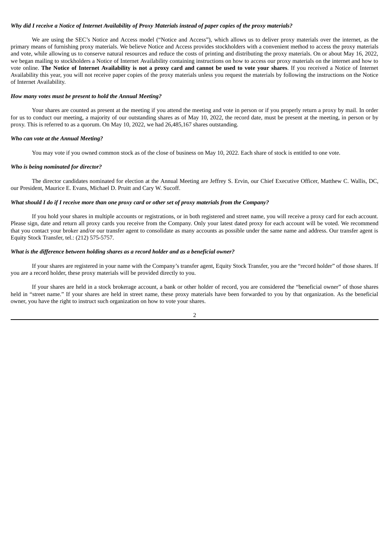# Why did I receive a Notice of Internet Availability of Proxy Materials instead of paper copies of the proxy materials?

We are using the SEC's Notice and Access model ("Notice and Access"), which allows us to deliver proxy materials over the internet, as the primary means of furnishing proxy materials. We believe Notice and Access provides stockholders with a convenient method to access the proxy materials and vote, while allowing us to conserve natural resources and reduce the costs of printing and distributing the proxy materials. On or about May 16, 2022, we began mailing to stockholders a Notice of Internet Availability containing instructions on how to access our proxy materials on the internet and how to vote online. The Notice of Internet Availability is not a proxy card and cannot be used to vote your shares. If you received a Notice of Internet Availability this year, you will not receive paper copies of the proxy materials unless you request the materials by following the instructions on the Notice of Internet Availability.

### *How many votes must be present to hold the Annual Meeting?*

Your shares are counted as present at the meeting if you attend the meeting and vote in person or if you properly return a proxy by mail. In order for us to conduct our meeting, a majority of our outstanding shares as of May 10, 2022, the record date, must be present at the meeting, in person or by proxy. This is referred to as a quorum. On May 10, 2022, we had 26,485,167 shares outstanding.

## *Who can vote at the Annual Meeting?*

You may vote if you owned common stock as of the close of business on May 10, 2022. Each share of stock is entitled to one vote.

#### *Who is being nominated for director?*

The director candidates nominated for election at the Annual Meeting are Jeffrey S. Ervin, our Chief Executive Officer, Matthew C. Wallis, DC, our President, Maurice E. Evans, Michael D. Pruitt and Cary W. Sucoff.

# What should I do if I receive more than one proxy card or other set of proxy materials from the Company?

If you hold your shares in multiple accounts or registrations, or in both registered and street name, you will receive a proxy card for each account. Please sign, date and return all proxy cards you receive from the Company. Only your latest dated proxy for each account will be voted. We recommend that you contact your broker and/or our transfer agent to consolidate as many accounts as possible under the same name and address. Our transfer agent is Equity Stock Transfer, tel.: (212) 575-5757.

# *What is the difference between holding shares as a record holder and as a beneficial owner?*

If your shares are registered in your name with the Company's transfer agent, Equity Stock Transfer, you are the "record holder" of those shares. If you are a record holder, these proxy materials will be provided directly to you.

If your shares are held in a stock brokerage account, a bank or other holder of record, you are considered the "beneficial owner" of those shares held in "street name." If your shares are held in street name, these proxy materials have been forwarded to you by that organization. As the beneficial owner, you have the right to instruct such organization on how to vote your shares.

 $\overline{2}$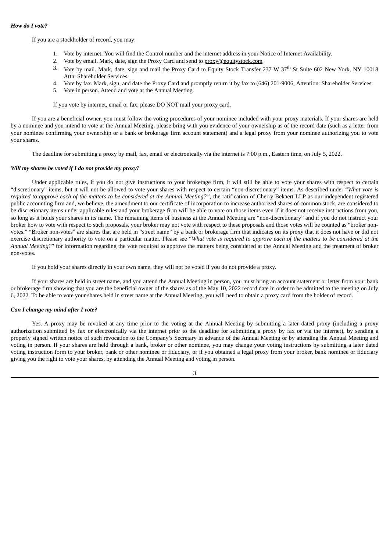If you are a stockholder of record, you may:

- 1. Vote by internet. You will find the Control number and the internet address in your Notice of Internet Availability.
- 2. Vote by email. Mark, date, sign the Proxy Card and send to proxy@equitystock.com
- 3. Vote by mail. Mark, date, sign and mail the Proxy Card to Equity Stock Transfer 237 W 37<sup>th</sup> St Suite 602 New York, NY 10018 Attn: Shareholder Services.
- 4. Vote by fax. Mark, sign, and date the Proxy Card and promptly return it by fax to (646) 201-9006, Attention: Shareholder Services.
- 5. Vote in person. Attend and vote at the Annual Meeting.

If you vote by internet, email or fax, please DO NOT mail your proxy card.

If you are a beneficial owner, you must follow the voting procedures of your nominee included with your proxy materials. If your shares are held by a nominee and you intend to vote at the Annual Meeting, please bring with you evidence of your ownership as of the record date (such as a letter from your nominee confirming your ownership or a bank or brokerage firm account statement) and a legal proxy from your nominee authorizing you to vote your shares.

The deadline for submitting a proxy by mail, fax, email or electronically via the internet is 7:00 p.m., Eastern time, on July 5, 2022.

#### *Will my shares be voted if I do not provide my proxy?*

Under applicable rules, if you do not give instructions to your brokerage firm, it will still be able to vote your shares with respect to certain "discretionary" items, but it will not be allowed to vote your shares with respect to certain "non-discretionary" items. As described under "*What vote is* required to approve each of the matters to be considered at the Annual Meeting?", the ratification of Cherry Bekaert LLP as our independent registered public accounting firm and, we believe, the amendment to our certificate of incorporation to increase authorized shares of common stock, are considered to be discretionary items under applicable rules and your brokerage firm will be able to vote on those items even if it does not receive instructions from you, so long as it holds your shares in its name. The remaining items of business at the Annual Meeting are "non-discretionary" and if you do not instruct your broker how to vote with respect to such proposals, your broker may not vote with respect to these proposals and those votes will be counted as "broker nonvotes." "Broker non-votes" are shares that are held in "street name" by a bank or brokerage firm that indicates on its proxy that it does not have or did not exercise discretionary authority to vote on a particular matter. Please see "What vote is required to approve each of the matters to be considered at the *Annual Meeting?*" for information regarding the vote required to approve the matters being considered at the Annual Meeting and the treatment of broker non-votes.

If you hold your shares directly in your own name, they will not be voted if you do not provide a proxy.

If your shares are held in street name, and you attend the Annual Meeting in person, you must bring an account statement or letter from your bank or brokerage firm showing that you are the beneficial owner of the shares as of the May 10, 2022 record date in order to be admitted to the meeting on July 6, 2022. To be able to vote your shares held in street name at the Annual Meeting, you will need to obtain a proxy card from the holder of record.

#### *Can I change my mind after I vote?*

Yes. A proxy may be revoked at any time prior to the voting at the Annual Meeting by submitting a later dated proxy (including a proxy authorization submitted by fax or electronically via the internet prior to the deadline for submitting a proxy by fax or via the internet), by sending a properly signed written notice of such revocation to the Company's Secretary in advance of the Annual Meeting or by attending the Annual Meeting and voting in person. If your shares are held through a bank, broker or other nominee, you may change your voting instructions by submitting a later dated voting instruction form to your broker, bank or other nominee or fiduciary, or if you obtained a legal proxy from your broker, bank nominee or fiduciary giving you the right to vote your shares, by attending the Annual Meeting and voting in person.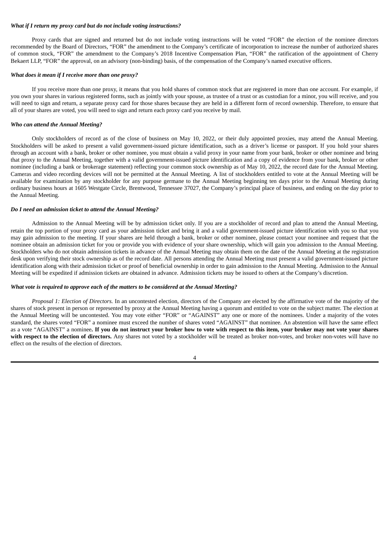## *What if I return my proxy card but do not include voting instructions?*

Proxy cards that are signed and returned but do not include voting instructions will be voted "FOR" the election of the nominee directors recommended by the Board of Directors, "FOR" the amendment to the Company's certificate of incorporation to increase the number of authorized shares of common stock, "FOR" the amendment to the Company's 2018 Incentive Compensation Plan, "FOR" the ratification of the appointment of Cherry Bekaert LLP, "FOR" the approval, on an advisory (non-binding) basis, of the compensation of the Company's named executive officers.

# *What does it mean if I receive more than one proxy?*

If you receive more than one proxy, it means that you hold shares of common stock that are registered in more than one account. For example, if you own your shares in various registered forms, such as jointly with your spouse, as trustee of a trust or as custodian for a minor, you will receive, and you will need to sign and return, a separate proxy card for those shares because they are held in a different form of record ownership. Therefore, to ensure that all of your shares are voted, you will need to sign and return each proxy card you receive by mail.

### *Who can attend the Annual Meeting?*

Only stockholders of record as of the close of business on May 10, 2022, or their duly appointed proxies, may attend the Annual Meeting. Stockholders will be asked to present a valid government-issued picture identification, such as a driver's license or passport. If you hold your shares through an account with a bank, broker or other nominee, you must obtain a valid proxy in your name from your bank, broker or other nominee and bring that proxy to the Annual Meeting, together with a valid government-issued picture identification and a copy of evidence from your bank, broker or other nominee (including a bank or brokerage statement) reflecting your common stock ownership as of May 10, 2022, the record date for the Annual Meeting. Cameras and video recording devices will not be permitted at the Annual Meeting. A list of stockholders entitled to vote at the Annual Meeting will be available for examination by any stockholder for any purpose germane to the Annual Meeting beginning ten days prior to the Annual Meeting during ordinary business hours at 1605 Westgate Circle, Brentwood, Tennessee 37027, the Company's principal place of business, and ending on the day prior to the Annual Meeting.

#### *Do I need an admission ticket to attend the Annual Meeting?*

Admission to the Annual Meeting will be by admission ticket only. If you are a stockholder of record and plan to attend the Annual Meeting, retain the top portion of your proxy card as your admission ticket and bring it and a valid government-issued picture identification with you so that you may gain admission to the meeting. If your shares are held through a bank, broker or other nominee, please contact your nominee and request that the nominee obtain an admission ticket for you or provide you with evidence of your share ownership, which will gain you admission to the Annual Meeting. Stockholders who do not obtain admission tickets in advance of the Annual Meeting may obtain them on the date of the Annual Meeting at the registration desk upon verifying their stock ownership as of the record date. All persons attending the Annual Meeting must present a valid government-issued picture identification along with their admission ticket or proof of beneficial ownership in order to gain admission to the Annual Meeting. Admission to the Annual Meeting will be expedited if admission tickets are obtained in advance. Admission tickets may be issued to others at the Company's discretion.

# *What vote is required to approve each of the matters to be considered at the Annual Meeting?*

*Proposal 1: Election of Directors.* In an uncontested election, directors of the Company are elected by the affirmative vote of the majority of the shares of stock present in person or represented by proxy at the Annual Meeting having a quorum and entitled to vote on the subject matter. The election at the Annual Meeting will be uncontested. You may vote either "FOR" or "AGAINST" any one or more of the nominees. Under a majority of the votes standard, the shares voted "FOR" a nominee must exceed the number of shares voted "AGAINST" that nominee. An abstention will have the same effect as a vote "AGAINST" a nominee. If you do not instruct your broker how to vote with respect to this item, your broker may not vote your shares **with respect to the election of directors.** Any shares not voted by a stockholder will be treated as broker non-votes, and broker non-votes will have no effect on the results of the election of directors.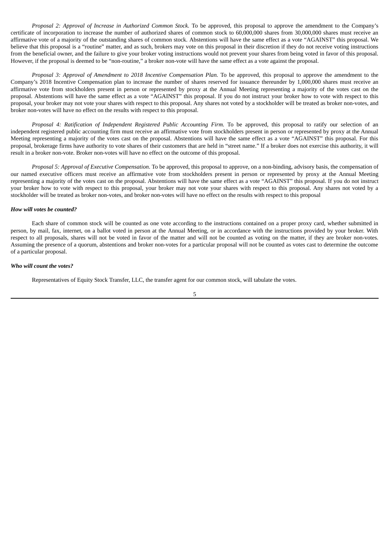*Proposal 2: Approval of Increase in Authorized Common Stock.* To be approved, this proposal to approve the amendment to the Company's certificate of incorporation to increase the number of authorized shares of common stock to 60,000,000 shares from 30,000,000 shares must receive an affirmative vote of a majority of the outstanding shares of common stock. Abstentions will have the same effect as a vote "AGAINST" this proposal. We believe that this proposal is a "routine" matter, and as such, brokers may vote on this proposal in their discretion if they do not receive voting instructions from the beneficial owner, and the failure to give your broker voting instructions would not prevent your shares from being voted in favor of this proposal. However, if the proposal is deemed to be "non-routine," a broker non-vote will have the same effect as a vote against the proposal.

*Proposal 3: Approval of Amendment to 2018 Incentive Compensation Plan.* To be approved, this proposal to approve the amendment to the Company's 2018 Incentive Compensation plan to increase the number of shares reserved for issuance thereunder by 1,000,000 shares must receive an affirmative vote from stockholders present in person or represented by proxy at the Annual Meeting representing a majority of the votes cast on the proposal. Abstentions will have the same effect as a vote "AGAINST" this proposal. If you do not instruct your broker how to vote with respect to this proposal, your broker may not vote your shares with respect to this proposal. Any shares not voted by a stockholder will be treated as broker non-votes, and broker non-votes will have no effect on the results with respect to this proposal.

*Proposal 4: Ratification of Independent Registered Public Accounting Firm.* To be approved, this proposal to ratify our selection of an independent registered public accounting firm must receive an affirmative vote from stockholders present in person or represented by proxy at the Annual Meeting representing a majority of the votes cast on the proposal. Abstentions will have the same effect as a vote "AGAINST" this proposal. For this proposal, brokerage firms have authority to vote shares of their customers that are held in "street name." If a broker does not exercise this authority, it will result in a broker non-vote. Broker non-votes will have no effect on the outcome of this proposal.

*Proposal 5: Approval of Executive Compensation*. To be approved, this proposal to approve, on a non-binding, advisory basis, the compensation of our named executive officers must receive an affirmative vote from stockholders present in person or represented by proxy at the Annual Meeting representing a majority of the votes cast on the proposal. Abstentions will have the same effect as a vote "AGAINST" this proposal. If you do not instruct your broker how to vote with respect to this proposal, your broker may not vote your shares with respect to this proposal. Any shares not voted by a stockholder will be treated as broker non-votes, and broker non-votes will have no effect on the results with respect to this proposal

#### *How will votes be counted?*

Each share of common stock will be counted as one vote according to the instructions contained on a proper proxy card, whether submitted in person, by mail, fax, internet, on a ballot voted in person at the Annual Meeting, or in accordance with the instructions provided by your broker. With respect to all proposals, shares will not be voted in favor of the matter and will not be counted as voting on the matter, if they are broker non-votes. Assuming the presence of a quorum, abstentions and broker non-votes for a particular proposal will not be counted as votes cast to determine the outcome of a particular proposal.

#### *Who will count the votes?*

Representatives of Equity Stock Transfer, LLC, the transfer agent for our common stock, will tabulate the votes.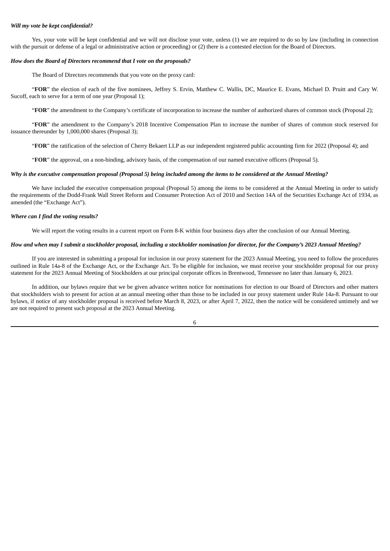# *Will my vote be kept confidential?*

Yes, your vote will be kept confidential and we will not disclose your vote, unless (1) we are required to do so by law (including in connection with the pursuit or defense of a legal or administrative action or proceeding) or (2) there is a contested election for the Board of Directors.

#### *How does the Board of Directors recommend that I vote on the proposals?*

The Board of Directors recommends that you vote on the proxy card:

"**FOR**" the election of each of the five nominees, Jeffrey S. Ervin, Matthew C. Wallis, DC, Maurice E. Evans, Michael D. Pruitt and Cary W. Sucoff, each to serve for a term of one year (Proposal 1);

"**FOR**" the amendment to the Company's certificate of incorporation to increase the number of authorized shares of common stock (Proposal 2);

"**FOR**" the amendment to the Company's 2018 Incentive Compensation Plan to increase the number of shares of common stock reserved for issuance thereunder by 1,000,000 shares (Proposal 3);

"**FOR**" the ratification of the selection of Cherry Bekaert LLP as our independent registered public accounting firm for 2022 (Proposal 4); and

"**FOR**" the approval, on a non-binding, advisory basis, of the compensation of our named executive officers (Proposal 5).

#### Why is the executive compensation proposal (Proposal 5) being included among the items to be considered at the Annual Meeting?

We have included the executive compensation proposal (Proposal 5) among the items to be considered at the Annual Meeting in order to satisfy the requirements of the Dodd-Frank Wall Street Reform and Consumer Protection Act of 2010 and Section 14A of the Securities Exchange Act of 1934, as amended (the "Exchange Act").

#### *Where can I find the voting results?*

We will report the voting results in a current report on Form 8-K within four business days after the conclusion of our Annual Meeting.

# How and when may I submit a stockholder proposal, including a stockholder nomination for director, for the Company's 2023 Annual Meeting?

If you are interested in submitting a proposal for inclusion in our proxy statement for the 2023 Annual Meeting, you need to follow the procedures outlined in Rule 14a-8 of the Exchange Act, or the Exchange Act. To be eligible for inclusion, we must receive your stockholder proposal for our proxy statement for the 2023 Annual Meeting of Stockholders at our principal corporate offices in Brentwood, Tennessee no later than January 6, 2023.

In addition, our bylaws require that we be given advance written notice for nominations for election to our Board of Directors and other matters that stockholders wish to present for action at an annual meeting other than those to be included in our proxy statement under Rule 14a-8. Pursuant to our bylaws, if notice of any stockholder proposal is received before March 8, 2023, or after April 7, 2022, then the notice will be considered untimely and we are not required to present such proposal at the 2023 Annual Meeting.

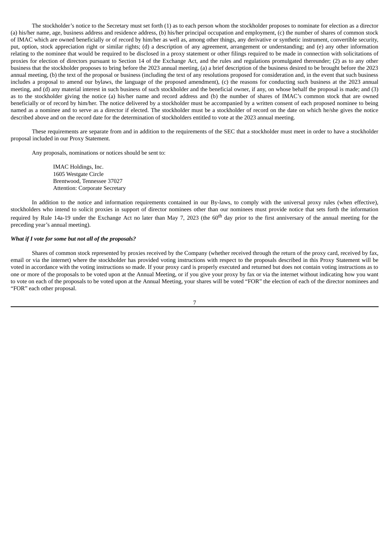The stockholder's notice to the Secretary must set forth (1) as to each person whom the stockholder proposes to nominate for election as a director (a) his/her name, age, business address and residence address, (b) his/her principal occupation and employment, (c) the number of shares of common stock of IMAC which are owned beneficially or of record by him/her as well as, among other things, any derivative or synthetic instrument, convertible security, put, option, stock appreciation right or similar rights; (d) a description of any agreement, arrangement or understanding; and (e) any other information relating to the nominee that would be required to be disclosed in a proxy statement or other filings required to be made in connection with solicitations of proxies for election of directors pursuant to Section 14 of the Exchange Act, and the rules and regulations promulgated thereunder; (2) as to any other business that the stockholder proposes to bring before the 2023 annual meeting, (a) a brief description of the business desired to be brought before the 2023 annual meeting, (b) the text of the proposal or business (including the text of any resolutions proposed for consideration and, in the event that such business includes a proposal to amend our bylaws, the language of the proposed amendment), (c) the reasons for conducting such business at the 2023 annual meeting, and (d) any material interest in such business of such stockholder and the beneficial owner, if any, on whose behalf the proposal is made; and (3) as to the stockholder giving the notice (a) his/her name and record address and (b) the number of shares of IMAC's common stock that are owned beneficially or of record by him/her. The notice delivered by a stockholder must be accompanied by a written consent of each proposed nominee to being named as a nominee and to serve as a director if elected. The stockholder must be a stockholder of record on the date on which he/she gives the notice described above and on the record date for the determination of stockholders entitled to vote at the 2023 annual meeting.

These requirements are separate from and in addition to the requirements of the SEC that a stockholder must meet in order to have a stockholder proposal included in our Proxy Statement.

Any proposals, nominations or notices should be sent to:

IMAC Holdings, Inc. 1605 Westgate Circle Brentwood, Tennessee 37027 Attention: Corporate Secretary

In addition to the notice and information requirements contained in our By-laws, to comply with the universal proxy rules (when effective), stockholders who intend to solicit proxies in support of director nominees other than our nominees must provide notice that sets forth the information required by Rule 14a-19 under the Exchange Act no later than May 7, 2023 (the 60<sup>th</sup> day prior to the first anniversary of the annual meeting for the preceding year's annual meeting).

# *What if I vote for some but not all of the proposals?*

Shares of common stock represented by proxies received by the Company (whether received through the return of the proxy card, received by fax, email or via the internet) where the stockholder has provided voting instructions with respect to the proposals described in this Proxy Statement will be voted in accordance with the voting instructions so made. If your proxy card is properly executed and returned but does not contain voting instructions as to one or more of the proposals to be voted upon at the Annual Meeting, or if you give your proxy by fax or via the internet without indicating how you want to vote on each of the proposals to be voted upon at the Annual Meeting, your shares will be voted "FOR" the election of each of the director nominees and "FOR" each other proposal.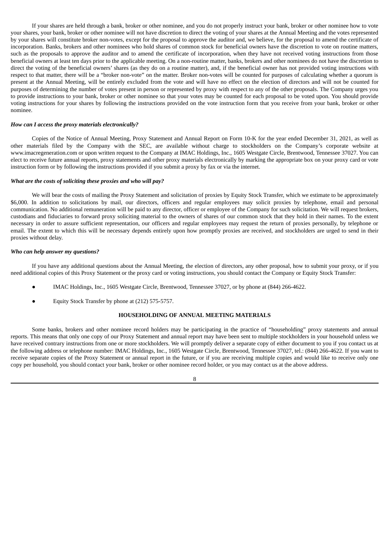If your shares are held through a bank, broker or other nominee, and you do not properly instruct your bank, broker or other nominee how to vote your shares, your bank, broker or other nominee will not have discretion to direct the voting of your shares at the Annual Meeting and the votes represented by your shares will constitute broker non-votes, except for the proposal to approve the auditor and, we believe, for the proposal to amend the certificate of incorporation. Banks, brokers and other nominees who hold shares of common stock for beneficial owners have the discretion to vote on routine matters, such as the proposals to approve the auditor and to amend the certificate of incorporation, when they have not received voting instructions from those beneficial owners at least ten days prior to the applicable meeting. On a non-routine matter, banks, brokers and other nominees do not have the discretion to direct the voting of the beneficial owners' shares (as they do on a routine matter), and, if the beneficial owner has not provided voting instructions with respect to that matter, there will be a "broker non-vote" on the matter. Broker non-votes will be counted for purposes of calculating whether a quorum is present at the Annual Meeting, will be entirely excluded from the vote and will have no effect on the election of directors and will not be counted for purposes of determining the number of votes present in person or represented by proxy with respect to any of the other proposals. The Company urges you to provide instructions to your bank, broker or other nominee so that your votes may be counted for each proposal to be voted upon. You should provide voting instructions for your shares by following the instructions provided on the vote instruction form that you receive from your bank, broker or other nominee.

# *How can I access the proxy materials electronically?*

Copies of the Notice of Annual Meeting, Proxy Statement and Annual Report on Form 10-K for the year ended December 31, 2021, as well as other materials filed by the Company with the SEC, are available without charge to stockholders on the Company's corporate website at www.imacregeneration.com or upon written request to the Company at IMAC Holdings, Inc., 1605 Westgate Circle, Brentwood, Tennessee 37027. You can elect to receive future annual reports, proxy statements and other proxy materials electronically by marking the appropriate box on your proxy card or vote instruction form or by following the instructions provided if you submit a proxy by fax or via the internet.

#### *What are the costs of soliciting these proxies and who will pay?*

We will bear the costs of mailing the Proxy Statement and solicitation of proxies by Equity Stock Transfer, which we estimate to be approximately \$6,000. In addition to solicitations by mail, our directors, officers and regular employees may solicit proxies by telephone, email and personal communication. No additional remuneration will be paid to any director, officer or employee of the Company for such solicitation. We will request brokers, custodians and fiduciaries to forward proxy soliciting material to the owners of shares of our common stock that they hold in their names. To the extent necessary in order to assure sufficient representation, our officers and regular employees may request the return of proxies personally, by telephone or email. The extent to which this will be necessary depends entirely upon how promptly proxies are received, and stockholders are urged to send in their proxies without delay.

#### *Who can help answer my questions?*

If you have any additional questions about the Annual Meeting, the election of directors, any other proposal, how to submit your proxy, or if you need additional copies of this Proxy Statement or the proxy card or voting instructions, you should contact the Company or Equity Stock Transfer:

- IMAC Holdings, Inc., 1605 Westgate Circle, Brentwood, Tennessee 37027, or by phone at (844) 266-4622.
- Equity Stock Transfer by phone at (212) 575-5757.

#### **HOUSEHOLDING OF ANNUAL MEETING MATERIALS**

Some banks, brokers and other nominee record holders may be participating in the practice of "householding" proxy statements and annual reports. This means that only one copy of our Proxy Statement and annual report may have been sent to multiple stockholders in your household unless we have received contrary instructions from one or more stockholders. We will promptly deliver a separate copy of either document to you if you contact us at the following address or telephone number: IMAC Holdings, Inc., 1605 Westgate Circle, Brentwood, Tennessee 37027, tel.: (844) 266-4622. If you want to receive separate copies of the Proxy Statement or annual report in the future, or if you are receiving multiple copies and would like to receive only one copy per household, you should contact your bank, broker or other nominee record holder, or you may contact us at the above address.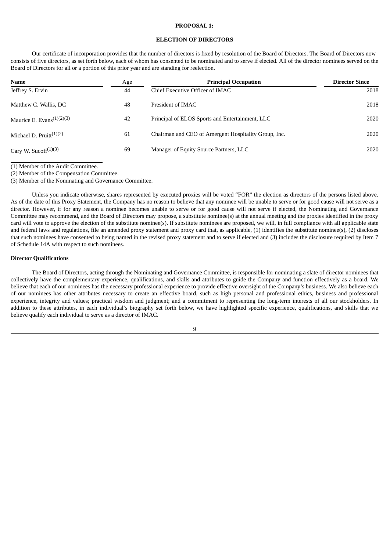# **PROPOSAL 1:**

# **ELECTION OF DIRECTORS**

Our certificate of incorporation provides that the number of directors is fixed by resolution of the Board of Directors. The Board of Directors now consists of five directors, as set forth below, each of whom has consented to be nominated and to serve if elected. All of the director nominees served on the Board of Directors for all or a portion of this prior year and are standing for reelection.

| <b>Name</b>                                   | Age | <b>Principal Occupation</b>                          | <b>Director Since</b> |
|-----------------------------------------------|-----|------------------------------------------------------|-----------------------|
| Jeffrey S. Ervin                              | 44  | Chief Executive Officer of IMAC                      | 2018                  |
| Matthew C. Wallis, DC                         | 48  | President of IMAC                                    | 2018                  |
| Maurice E. Evans $(1)(2)(3)$                  | 42  | Principal of ELOS Sports and Entertainment, LLC      | 2020                  |
| Michael D. Pruitt $(1)(2)$                    | 61  | Chairman and CEO of Amergent Hospitality Group, Inc. | 2020                  |
| Cary W. Sucoff <sup><math>(1)(3)</math></sup> | 69  | Manager of Equity Source Partners, LLC               | 2020                  |

(1) Member of the Audit Committee.

(2) Member of the Compensation Committee.

(3) Member of the Nominating and Governance Committee.

Unless you indicate otherwise, shares represented by executed proxies will be voted "FOR" the election as directors of the persons listed above. As of the date of this Proxy Statement, the Company has no reason to believe that any nominee will be unable to serve or for good cause will not serve as a director. However, if for any reason a nominee becomes unable to serve or for good cause will not serve if elected, the Nominating and Governance Committee may recommend, and the Board of Directors may propose, a substitute nominee(s) at the annual meeting and the proxies identified in the proxy card will vote to approve the election of the substitute nominee(s). If substitute nominees are proposed, we will, in full compliance with all applicable state and federal laws and regulations, file an amended proxy statement and proxy card that, as applicable, (1) identifies the substitute nominee(s), (2) discloses that such nominees have consented to being named in the revised proxy statement and to serve if elected and (3) includes the disclosure required by Item 7 of Schedule 14A with respect to such nominees.

#### **Director Qualifications**

The Board of Directors, acting through the Nominating and Governance Committee, is responsible for nominating a slate of director nominees that collectively have the complementary experience, qualifications, and skills and attributes to guide the Company and function effectively as a board. We believe that each of our nominees has the necessary professional experience to provide effective oversight of the Company's business. We also believe each of our nominees has other attributes necessary to create an effective board, such as high personal and professional ethics, business and professional experience, integrity and values; practical wisdom and judgment; and a commitment to representing the long-term interests of all our stockholders. In addition to these attributes, in each individual's biography set forth below, we have highlighted specific experience, qualifications, and skills that we believe qualify each individual to serve as a director of IMAC.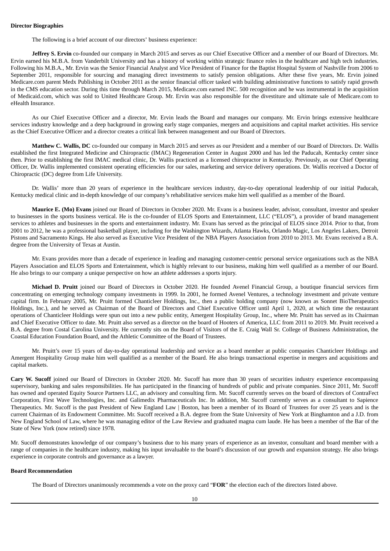The following is a brief account of our directors' business experience:

**Jeffrey S. Ervin** co-founded our company in March 2015 and serves as our Chief Executive Officer and a member of our Board of Directors. Mr. Ervin earned his M.B.A. from Vanderbilt University and has a history of working within strategic finance roles in the healthcare and high tech industries. Following his M.B.A., Mr. Ervin was the Senior Financial Analyst and Vice President of Finance for the Baptist Hospital System of Nashville from 2006 to September 2011, responsible for sourcing and managing direct investments to satisfy pension obligations. After these five years, Mr. Ervin joined Medicare.com parent Medx Publishing in October 2011 as the senior financial officer tasked with building administrative functions to satisfy rapid growth in the CMS education sector. During this time through March 2015, Medicare.com earned INC. 500 recognition and he was instrumental in the acquisition of Medicaid.com, which was sold to United Healthcare Group. Mr. Ervin was also responsible for the divestiture and ultimate sale of Medicare.com to eHealth Insurance.

As our Chief Executive Officer and a director, Mr. Ervin leads the Board and manages our company. Mr. Ervin brings extensive healthcare services industry knowledge and a deep background in growing early stage companies, mergers and acquisitions and capital market activities. His service as the Chief Executive Officer and a director creates a critical link between management and our Board of Directors.

**Matthew C. Wallis, DC** co-founded our company in March 2015 and serves as our President and a member of our Board of Directors. Dr. Wallis established the first Integrated Medicine and Chiropractic (IMAC) Regeneration Center in August 2000 and has led the Paducah, Kentucky center since then. Prior to establishing the first IMAC medical clinic, Dr. Wallis practiced as a licensed chiropractor in Kentucky. Previously, as our Chief Operating Officer, Dr. Wallis implemented consistent operating efficiencies for our sales, marketing and service delivery operations. Dr. Wallis received a Doctor of Chiropractic (DC) degree from Life University.

Dr. Wallis' more than 20 years of experience in the healthcare services industry, day-to-day operational leadership of our initial Paducah, Kentucky medical clinic and in-depth knowledge of our company's rehabilitative services make him well qualified as a member of the Board.

**Maurice E. (Mo) Evans** joined our Board of Directors in October 2020. Mr. Evans is a business leader, advisor, consultant, investor and speaker to businesses in the sports business vertical. He is the co-founder of ELOS Sports and Entertainment, LLC ("ELOS"), a provider of brand management services to athletes and businesses in the sports and entertainment industry. Mr. Evans has served as the principal of ELOS since 2014. Prior to that, from 2001 to 2012, he was a professional basketball player, including for the Washington Wizards, Atlanta Hawks, Orlando Magic, Los Angeles Lakers, Detroit Pistons and Sacramento Kings. He also served as Executive Vice President of the NBA Players Association from 2010 to 2013. Mr. Evans received a B.A. degree from the University of Texas at Austin.

Mr. Evans provides more than a decade of experience in leading and managing customer-centric personal service organizations such as the NBA Players Association and ELOS Sports and Entertainment, which is highly relevant to our business, making him well qualified as a member of our Board. He also brings to our company a unique perspective on how an athlete addresses a sports injury.

**Michael D. Pruitt** joined our Board of Directors in October 2020. He founded Avenel Financial Group, a boutique financial services firm concentrating on emerging technology company investments in 1999. In 2001, he formed Avenel Ventures, a technology investment and private venture capital firm. In February 2005, Mr. Pruitt formed Chanticleer Holdings, Inc., then a public holding company (now known as Sonnet BioTherapeutics Holdings, Inc.), and he served as Chairman of the Board of Directors and Chief Executive Officer until April 1, 2020, at which time the restaurant operations of Chanticleer Holdings were spun out into a new public entity, Amergent Hospitality Group, Inc., where Mr. Pruitt has served as its Chairman and Chief Executive Officer to date. Mr. Pruitt also served as a director on the board of Hooters of America, LLC from 2011 to 2019. Mr. Pruitt received a B.A. degree from Costal Carolina University. He currently sits on the Board of Visitors of the E. Craig Wall Sr. College of Business Administration, the Coastal Education Foundation Board, and the Athletic Committee of the Board of Trustees.

Mr. Pruitt's over 15 years of day-to-day operational leadership and service as a board member at public companies Chanticleer Holdings and Amergent Hospitality Group make him well qualified as a member of the Board. He also brings transactional expertise in mergers and acquisitions and capital markets.

**Cary W. Sucoff** joined our Board of Directors in October 2020. Mr. Sucoff has more than 30 years of securities industry experience encompassing supervisory, banking and sales responsibilities. He has participated in the financing of hundreds of public and private companies. Since 2011, Mr. Sucoff has owned and operated Equity Source Partners LLC, an advisory and consulting firm. Mr. Sucoff currently serves on the board of directors of ContraFect Corporation, First Wave Technologies, Inc. and Galimedix Pharmaceuticals Inc. In addition, Mr. Sucoff currently serves as a consultant to Sapience Therapeutics. Mr. Sucoff is the past President of New England Law | Boston, has been a member of its Board of Trustees for over 25 years and is the current Chairman of its Endowment Committee. Mr. Sucoff received a B.A. degree from the State University of New York at Binghamton and a J.D. from New England School of Law, where he was managing editor of the Law Review and graduated magna cum laude. He has been a member of the Bar of the State of New York (now retired) since 1978.

Mr. Sucoff demonstrates knowledge of our company's business due to his many years of experience as an investor, consultant and board member with a range of companies in the healthcare industry, making his input invaluable to the board's discussion of our growth and expansion strategy. He also brings experience in corporate controls and governance as a lawyer.

# **Board Recommendation**

The Board of Directors unanimously recommends a vote on the proxy card "**FOR**" the election each of the directors listed above.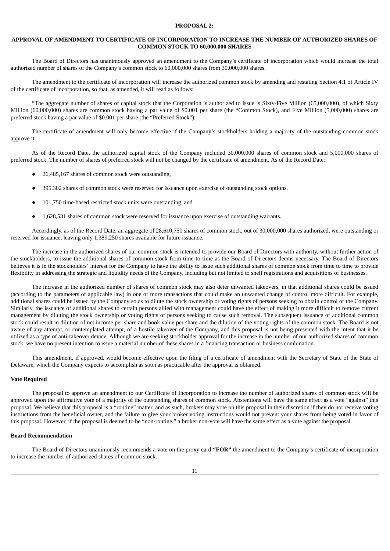# **PROPOSAL 2:**

# **APPROVAL OF AMENDMENT TO CERTIFICATE OF INCORPORATION TO INCREASE THE NUMBER OF AUTHORIZED SHARES OF COMMON STOCK TO 60,000,000 SHARES**

The Board of Directors has unanimously approved an amendment to the Company's certificate of incorporation which would increase the total authorized number of shares of the Company's common stock to 60,000,000 shares from 30,000,000 shares.

The amendment to the certificate of incorporation will increase the authorized common stock by amending and restating Section 4.1 of Article IV of the certificate of incorporation, so that, as amended, it will read as follows:

"The aggregate number of shares of capital stock that the Corporation is authorized to issue is Sixty-Five Million (65,000,000), of which Sixty Million (60,000,000) shares are common stock having a par value of \$0,001 per share (the "Common Stock), and Five Million (5,000,000) shares are preferred stock having a par value of \$0.001 per share (the "Preferred Stock").

The certificate of amendment will only become effective if the Company's stockholders holding a majority of the outstanding common stock approve it.

As of the Record Date, the authorized capital stock of the Company included 30,000,000 shares of common stock and 5,000,000 shares of preferred stock. The number of shares of preferred stock will not be changed by the certificate of amendment. As of the Record Date:

- 26,485,167 shares of common stock were outstanding,
- 395,302 shares of common stock were reserved for issuance upon exercise of outstanding stock options,
- 101,750 time-based restricted stock units were outstanding, and
- 1,628,531 shares of common stock were reserved for issuance upon exercise of outstanding warrants.

Accordingly, as of the Record Date, an aggregate of 28,610,750 shares of common stock, out of 30,000,000 shares authorized, were outstanding or reserved for issuance, leaving only 1,389,250 shares available for future issuance.

The increase in the authorized shares of our common stock is intended to provide our Board of Directors with authority, without further action of the stockholders, to issue the additional shares of common stock from time to time as the Board of Directors deems necessary. The Board of Directors believes it is in the stockholders' interest for the Company to have the ability to issue such additional shares of common stock from time to time to provide flexibility in addressing the strategic and liquidity needs of the Company, including but not limited to shelf registrations and acquisitions of businesses.

The increase in the authorized number of shares of common stock may also deter unwanted takeovers, in that additional shares could be issued (according to the parameters of applicable law) in one or more transactions that could make an unwanted change of control more difficult. For example, additional shares could be issued by the Company so as to dilute the stock ownership or voting rights of persons seeking to obtain control of the Company. Similarly, the issuance of additional shares to certain persons allied with management could have the effect of making it more difficult to remove current management by diluting the stock ownership or voting rights of persons seeking to cause such removal. The subsequent issuance of additional common stock could result in dilution of net income per share and book value per share and the dilution of the voting rights of the common stock. The Board is not aware of any attempt, or contemplated attempt, of a hostile takeover of the Company, and this proposal is not being presented with the intent that it be utilized as a type of anti-takeover device. Although we are seeking stockholder approval for the increase in the number of our authorized shares of common stock, we have no present intention to issue a material number of these shares in a financing transaction or business combination.

This amendment, if approved, would become effective upon the filing of a certificate of amendment with the Secretary of State of the State of Delaware, which the Company expects to accomplish as soon as practicable after the approval is obtained.

# **Vote Required**

The proposal to approve an amendment to our Certificate of Incorporation to increase the number of authorized shares of common stock will be approved upon the affirmative vote of a majority of the outstanding shares of common stock. Abstentions will have the same effect as a vote "against" this proposal. We believe that this proposal is a "routine" matter, and as such, brokers may vote on this proposal in their discretion if they do not receive voting instructions from the beneficial owner, and the failure to give your broker voting instructions would not prevent your shares from being voted in favor of this proposal. However, if the proposal is deemed to be "non-routine," a broker non-vote will have the same effect as a vote against the proposal.

# **Board Recommendation**

The Board of Directors unanimously recommends a vote on the proxy card **"FOR"** the amendment to the Company's certificate of incorporation to increase the number of authorized shares of common stock.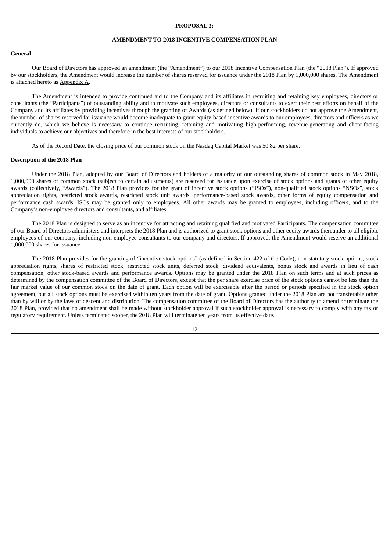## **PROPOSAL 3:**

# **AMENDMENT TO 2018 INCENTIVE COMPENSATION PLAN**

# **General**

Our Board of Directors has approved an amendment (the "Amendment") to our 2018 Incentive Compensation Plan (the "2018 Plan"). If approved by our stockholders, the Amendment would increase the number of shares reserved for issuance under the 2018 Plan by 1,000,000 shares. The Amendment is attached hereto as Appendix A.

The Amendment is intended to provide continued aid to the Company and its affiliates in recruiting and retaining key employees, directors or consultants (the "Participants") of outstanding ability and to motivate such employees, directors or consultants to exert their best efforts on behalf of the Company and its affiliates by providing incentives through the granting of Awards (as defined below). If our stockholders do not approve the Amendment, the number of shares reserved for issuance would become inadequate to grant equity-based incentive awards to our employees, directors and officers as we currently do, which we believe is necessary to continue recruiting, retaining and motivating high-performing, revenue-generating and client-facing individuals to achieve our objectives and therefore in the best interests of our stockholders.

As of the Record Date, the closing price of our common stock on the Nasdaq Capital Market was \$0.82 per share.

## **Description of the 2018 Plan**

Under the 2018 Plan, adopted by our Board of Directors and holders of a majority of our outstanding shares of common stock in May 2018, 1,000,000 shares of common stock (subject to certain adjustments) are reserved for issuance upon exercise of stock options and grants of other equity awards (collectively, "Awards"). The 2018 Plan provides for the grant of incentive stock options ("ISOs"), non-qualified stock options "NSOs", stock appreciation rights, restricted stock awards, restricted stock unit awards, performance-based stock awards, other forms of equity compensation and performance cash awards. ISOs may be granted only to employees. All other awards may be granted to employees, including officers, and to the Company's non-employee directors and consultants, and affiliates.

The 2018 Plan is designed to serve as an incentive for attracting and retaining qualified and motivated Participants. The compensation committee of our Board of Directors administers and interprets the 2018 Plan and is authorized to grant stock options and other equity awards thereunder to all eligible employees of our company, including non-employee consultants to our company and directors. If approved, the Amendment would reserve an additional 1,000,000 shares for issuance.

The 2018 Plan provides for the granting of "incentive stock options" (as defined in Section 422 of the Code), non-statutory stock options, stock appreciation rights, shares of restricted stock, restricted stock units, deferred stock, dividend equivalents, bonus stock and awards in lieu of cash compensation, other stock-based awards and performance awards. Options may be granted under the 2018 Plan on such terms and at such prices as determined by the compensation committee of the Board of Directors, except that the per share exercise price of the stock options cannot be less than the fair market value of our common stock on the date of grant. Each option will be exercisable after the period or periods specified in the stock option agreement, but all stock options must be exercised within ten years from the date of grant. Options granted under the 2018 Plan are not transferable other than by will or by the laws of descent and distribution. The compensation committee of the Board of Directors has the authority to amend or terminate the 2018 Plan, provided that no amendment shall be made without stockholder approval if such stockholder approval is necessary to comply with any tax or regulatory requirement. Unless terminated sooner, the 2018 Plan will terminate ten years from its effective date.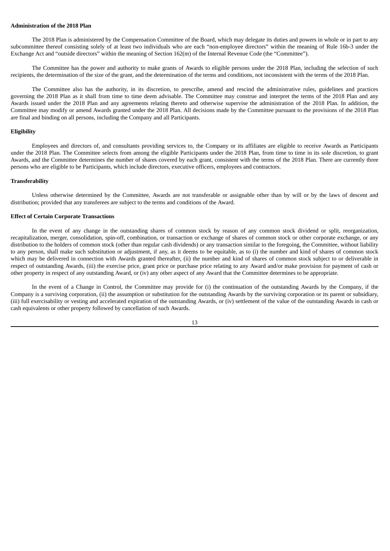## **Administration of the 2018 Plan**

The 2018 Plan is administered by the Compensation Committee of the Board, which may delegate its duties and powers in whole or in part to any subcommittee thereof consisting solely of at least two individuals who are each "non-employee directors" within the meaning of Rule 16b-3 under the Exchange Act and "outside directors" within the meaning of Section 162(m) of the Internal Revenue Code (the "Committee").

The Committee has the power and authority to make grants of Awards to eligible persons under the 2018 Plan, including the selection of such recipients, the determination of the size of the grant, and the determination of the terms and conditions, not inconsistent with the terms of the 2018 Plan.

The Committee also has the authority, in its discretion, to prescribe, amend and rescind the administrative rules, guidelines and practices governing the 2018 Plan as it shall from time to time deem advisable. The Committee may construe and interpret the terms of the 2018 Plan and any Awards issued under the 2018 Plan and any agreements relating thereto and otherwise supervise the administration of the 2018 Plan. In addition, the Committee may modify or amend Awards granted under the 2018 Plan. All decisions made by the Committee pursuant to the provisions of the 2018 Plan are final and binding on all persons, including the Company and all Participants.

#### **Eligibility**

Employees and directors of, and consultants providing services to, the Company or its affiliates are eligible to receive Awards as Participants under the 2018 Plan. The Committee selects from among the eligible Participants under the 2018 Plan, from time to time in its sole discretion, to grant Awards, and the Committee determines the number of shares covered by each grant, consistent with the terms of the 2018 Plan. There are currently three persons who are eligible to be Participants, which include directors, executive officers, employees and contractors.

#### **Transferability**

Unless otherwise determined by the Committee, Awards are not transferable or assignable other than by will or by the laws of descent and distribution; provided that any transferees are subject to the terms and conditions of the Award.

#### **Effect of Certain Corporate Transactions**

In the event of any change in the outstanding shares of common stock by reason of any common stock dividend or split, reorganization, recapitalization, merger, consolidation, spin-off, combination, or transaction or exchange of shares of common stock or other corporate exchange, or any distribution to the holders of common stock (other than regular cash dividends) or any transaction similar to the foregoing, the Committee, without liability to any person, shall make such substitution or adjustment, if any, as it deems to be equitable, as to (i) the number and kind of shares of common stock which may be delivered in connection with Awards granted thereafter, (ii) the number and kind of shares of common stock subject to or deliverable in respect of outstanding Awards, (iii) the exercise price, grant price or purchase price relating to any Award and/or make provision for payment of cash or other property in respect of any outstanding Award, or (iv) any other aspect of any Award that the Committee determines to be appropriate.

In the event of a Change in Control, the Committee may provide for (i) the continuation of the outstanding Awards by the Company, if the Company is a surviving corporation, (ii) the assumption or substitution for the outstanding Awards by the surviving corporation or its parent or subsidiary, (iii) full exercisability or vesting and accelerated expiration of the outstanding Awards, or (iv) settlement of the value of the outstanding Awards in cash or cash equivalents or other property followed by cancellation of such Awards.

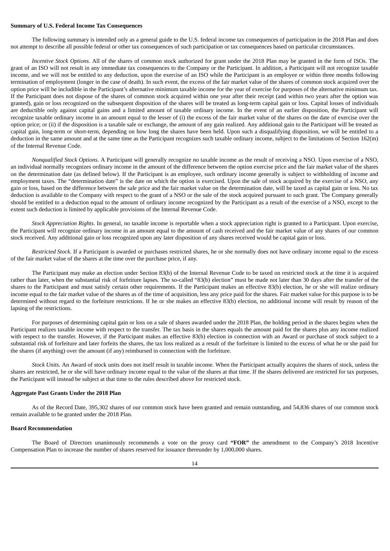## **Summary of U.S. Federal Income Tax Consequences**

The following summary is intended only as a general guide to the U.S. federal income tax consequences of participation in the 2018 Plan and does not attempt to describe all possible federal or other tax consequences of such participation or tax consequences based on particular circumstances.

*Incentive Stock Options*. All of the shares of common stock authorized for grant under the 2018 Plan may be granted in the form of ISOs. The grant of an ISO will not result in any immediate tax consequences to the Company or the Participant. In addition, a Participant will not recognize taxable income, and we will not be entitled to any deduction, upon the exercise of an ISO while the Participant is an employee or within three months following termination of employment (longer in the case of death). In such event, the excess of the fair market value of the shares of common stock acquired over the option price will be includible in the Participant's alternative minimum taxable income for the year of exercise for purposes of the alternative minimum tax. If the Participant does not dispose of the shares of common stock acquired within one year after their receipt (and within two years after the option was granted), gain or loss recognized on the subsequent disposition of the shares will be treated as long-term capital gain or loss. Capital losses of individuals are deductible only against capital gains and a limited amount of taxable ordinary income. In the event of an earlier disposition, the Participant will recognize taxable ordinary income in an amount equal to the lesser of (i) the excess of the fair market value of the shares on the date of exercise over the option price; or (ii) if the disposition is a taxable sale or exchange, the amount of any gain realized. Any additional gain to the Participant will be treated as capital gain, long-term or short-term, depending on how long the shares have been held. Upon such a disqualifying disposition, we will be entitled to a deduction in the same amount and at the same time as the Participant recognizes such taxable ordinary income, subject to the limitations of Section 162(m) of the Internal Revenue Code.

*Nonqualified Stock Options*. A Participant will generally recognize no taxable income as the result of receiving a NSO. Upon exercise of a NSO, an individual normally recognizes ordinary income in the amount of the difference between the option exercise price and the fair market value of the shares on the determination date (as defined below). If the Participant is an employee, such ordinary income generally is subject to withholding of income and employment taxes. The "determination date" is the date on which the option is exercised. Upon the sale of stock acquired by the exercise of a NSO, any gain or loss, based on the difference between the sale price and the fair market value on the determination date, will be taxed as capital gain or loss. No tax deduction is available to the Company with respect to the grant of a NSO or the sale of the stock acquired pursuant to such grant. The Company generally should be entitled to a deduction equal to the amount of ordinary income recognized by the Participant as a result of the exercise of a NSO, except to the extent such deduction is limited by applicable provisions of the Internal Revenue Code.

*Stock Appreciation Rights*. In general, no taxable income is reportable when a stock appreciation right is granted to a Participant. Upon exercise, the Participant will recognize ordinary income in an amount equal to the amount of cash received and the fair market value of any shares of our common stock received. Any additional gain or loss recognized upon any later disposition of any shares received would be capital gain or loss.

*Restricted Stock*. If a Participant is awarded or purchases restricted shares, he or she normally does not have ordinary income equal to the excess of the fair market value of the shares at the time over the purchase price, if any.

The Participant may make an election under Section 83(b) of the Internal Revenue Code to be taxed on restricted stock at the time it is acquired rather than later, when the substantial risk of forfeiture lapses. The so-called "83(b) election" must be made not later than 30 days after the transfer of the shares to the Participant and must satisfy certain other requirements. If the Participant makes an effective 83(b) election, he or she will realize ordinary income equal to the fair market value of the shares as of the time of acquisition, less any price paid for the shares. Fair market value for this purpose is to be determined without regard to the forfeiture restrictions. If he or she makes an effective 83(b) election, no additional income will result by reason of the lapsing of the restrictions.

For purposes of determining capital gain or loss on a sale of shares awarded under the 2018 Plan, the holding period in the shares begins when the Participant realizes taxable income with respect to the transfer. The tax basis in the shares equals the amount paid for the shares plus any income realized with respect to the transfer. However, if the Participant makes an effective 83(b) election in connection with an Award or purchase of stock subject to a substantial risk of forfeiture and later forfeits the shares, the tax loss realized as a result of the forfeiture is limited to the excess of what he or she paid for the shares (if anything) over the amount (if any) reimbursed in connection with the forfeiture.

*Stock Units*. An Award of stock units does not itself result in taxable income. When the Participant actually acquires the shares of stock, unless the shares are restricted, he or she will have ordinary income equal to the value of the shares at that time. If the shares delivered are restricted for tax purposes, the Participant will instead be subject at that time to the rules described above for restricted stock.

# **Aggregate Past Grants Under the 2018 Plan**

As of the Record Date, 395,302 shares of our common stock have been granted and remain outstanding, and 54,836 shares of our common stock remain available to be granted under the 2018 Plan.

## **Board Recommendation**

The Board of Directors unanimously recommends a vote on the proxy card **"FOR"** the amendment to the Company's 2018 Incentive Compensation Plan to increase the number of shares reserved for issuance thereunder by 1,000,000 shares.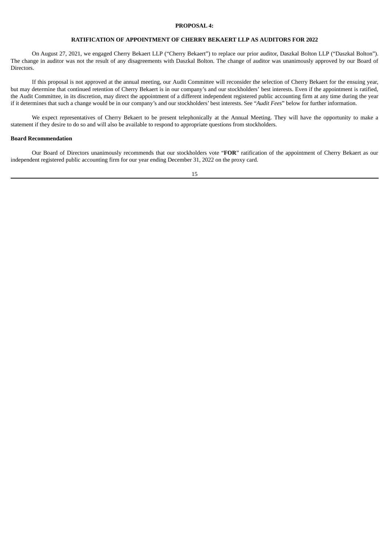## **PROPOSAL 4:**

# **RATIFICATION OF APPOINTMENT OF CHERRY BEKAERT LLP AS AUDITORS FOR 2022**

On August 27, 2021, we engaged Cherry Bekaert LLP ("Cherry Bekaert") to replace our prior auditor, Daszkal Bolton LLP ("Daszkal Bolton"). The change in auditor was not the result of any disagreements with Daszkal Bolton. The change of auditor was unanimously approved by our Board of Directors.

If this proposal is not approved at the annual meeting, our Audit Committee will reconsider the selection of Cherry Bekaert for the ensuing year, but may determine that continued retention of Cherry Bekaert is in our company's and our stockholders' best interests. Even if the appointment is ratified, the Audit Committee, in its discretion, may direct the appointment of a different independent registered public accounting firm at any time during the year if it determines that such a change would be in our company's and our stockholders' best interests. See "*Audit Fees*" below for further information.

We expect representatives of Cherry Bekaert to be present telephonically at the Annual Meeting. They will have the opportunity to make a statement if they desire to do so and will also be available to respond to appropriate questions from stockholders.

# **Board Recommendation**

Our Board of Directors unanimously recommends that our stockholders vote "**FOR**" ratification of the appointment of Cherry Bekaert as our independent registered public accounting firm for our year ending December 31, 2022 on the proxy card.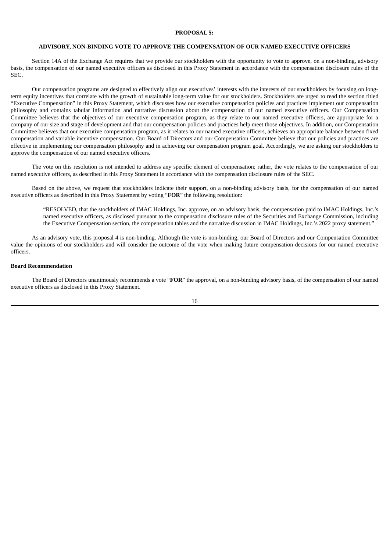## **PROPOSAL 5:**

# **ADVISORY, NON-BINDING VOTE TO APPROVE THE COMPENSATION OF OUR NAMED EXECUTIVE OFFICERS**

Section 14A of the Exchange Act requires that we provide our stockholders with the opportunity to vote to approve, on a non-binding, advisory basis, the compensation of our named executive officers as disclosed in this Proxy Statement in accordance with the compensation disclosure rules of the SEC.

Our compensation programs are designed to effectively align our executives' interests with the interests of our stockholders by focusing on longterm equity incentives that correlate with the growth of sustainable long-term value for our stockholders. Stockholders are urged to read the section titled "Executive Compensation" in this Proxy Statement, which discusses how our executive compensation policies and practices implement our compensation philosophy and contains tabular information and narrative discussion about the compensation of our named executive officers. Our Compensation Committee believes that the objectives of our executive compensation program, as they relate to our named executive officers, are appropriate for a company of our size and stage of development and that our compensation policies and practices help meet those objectives. In addition, our Compensation Committee believes that our executive compensation program, as it relates to our named executive officers, achieves an appropriate balance between fixed compensation and variable incentive compensation. Our Board of Directors and our Compensation Committee believe that our policies and practices are effective in implementing our compensation philosophy and in achieving our compensation program goal. Accordingly, we are asking our stockholders to approve the compensation of our named executive officers.

The vote on this resolution is not intended to address any specific element of compensation; rather, the vote relates to the compensation of our named executive officers, as described in this Proxy Statement in accordance with the compensation disclosure rules of the SEC.

Based on the above, we request that stockholders indicate their support, on a non-binding advisory basis, for the compensation of our named executive officers as described in this Proxy Statement by voting "**FOR**" the following resolution:

"RESOLVED, that the stockholders of IMAC Holdings, Inc. approve, on an advisory basis, the compensation paid to IMAC Holdings, Inc.'s named executive officers, as disclosed pursuant to the compensation disclosure rules of the Securities and Exchange Commission, including the Executive Compensation section, the compensation tables and the narrative discussion in IMAC Holdings, Inc.'s 2022 proxy statement."

As an advisory vote, this proposal 4 is non-binding. Although the vote is non-binding, our Board of Directors and our Compensation Committee value the opinions of our stockholders and will consider the outcome of the vote when making future compensation decisions for our named executive officers.

#### **Board Recommendation**

The Board of Directors unanimously recommends a vote "**FOR**" the approval, on a non-binding advisory basis, of the compensation of our named executive officers as disclosed in this Proxy Statement.

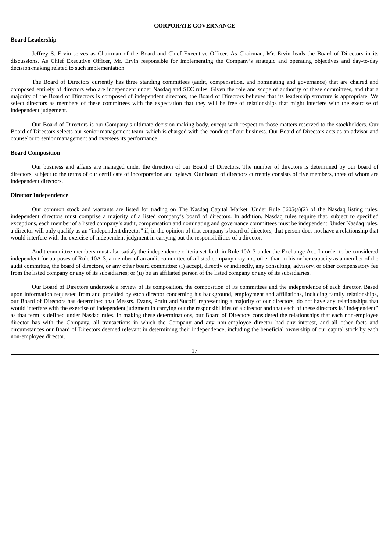#### **Board Leadership**

Jeffrey S. Ervin serves as Chairman of the Board and Chief Executive Officer. As Chairman, Mr. Ervin leads the Board of Directors in its discussions. As Chief Executive Officer, Mr. Ervin responsible for implementing the Company's strategic and operating objectives and day-to-day decision-making related to such implementation.

The Board of Directors currently has three standing committees (audit, compensation, and nominating and governance) that are chaired and composed entirely of directors who are independent under Nasdaq and SEC rules. Given the role and scope of authority of these committees, and that a majority of the Board of Directors is composed of independent directors, the Board of Directors believes that its leadership structure is appropriate. We select directors as members of these committees with the expectation that they will be free of relationships that might interfere with the exercise of independent judgement.

Our Board of Directors is our Company's ultimate decision-making body, except with respect to those matters reserved to the stockholders. Our Board of Directors selects our senior management team, which is charged with the conduct of our business. Our Board of Directors acts as an advisor and counselor to senior management and oversees its performance.

#### **Board Composition**

Our business and affairs are managed under the direction of our Board of Directors. The number of directors is determined by our board of directors, subject to the terms of our certificate of incorporation and bylaws. Our board of directors currently consists of five members, three of whom are independent directors.

## **Director Independence**

Our common stock and warrants are listed for trading on The Nasdaq Capital Market. Under Rule 5605(a)(2) of the Nasdaq listing rules, independent directors must comprise a majority of a listed company's board of directors. In addition, Nasdaq rules require that, subject to specified exceptions, each member of a listed company's audit, compensation and nominating and governance committees must be independent. Under Nasdaq rules, a director will only qualify as an "independent director" if, in the opinion of that company's board of directors, that person does not have a relationship that would interfere with the exercise of independent judgment in carrying out the responsibilities of a director.

Audit committee members must also satisfy the independence criteria set forth in Rule 10A-3 under the Exchange Act. In order to be considered independent for purposes of Rule 10A-3, a member of an audit committee of a listed company may not, other than in his or her capacity as a member of the audit committee, the board of directors, or any other board committee: (i) accept, directly or indirectly, any consulting, advisory, or other compensatory fee from the listed company or any of its subsidiaries; or (ii) be an affiliated person of the listed company or any of its subsidiaries.

Our Board of Directors undertook a review of its composition, the composition of its committees and the independence of each director. Based upon information requested from and provided by each director concerning his background, employment and affiliations, including family relationships, our Board of Directors has determined that Messrs. Evans, Pruitt and Sucoff, representing a majority of our directors, do not have any relationships that would interfere with the exercise of independent judgment in carrying out the responsibilities of a director and that each of these directors is "independent" as that term is defined under Nasdaq rules. In making these determinations, our Board of Directors considered the relationships that each non-employee director has with the Company, all transactions in which the Company and any non-employee director had any interest, and all other facts and circumstances our Board of Directors deemed relevant in determining their independence, including the beneficial ownership of our capital stock by each non-employee director.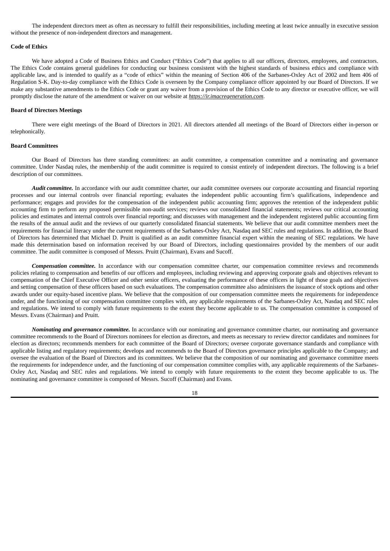The independent directors meet as often as necessary to fulfill their responsibilities, including meeting at least twice annually in executive session without the presence of non-independent directors and management.

# **Code of Ethics**

We have adopted a Code of Business Ethics and Conduct ("Ethics Code") that applies to all our officers, directors, employees, and contractors. The Ethics Code contains general guidelines for conducting our business consistent with the highest standards of business ethics and compliance with applicable law, and is intended to qualify as a "code of ethics" within the meaning of Section 406 of the Sarbanes-Oxley Act of 2002 and Item 406 of Regulation S-K. Day-to-day compliance with the Ethics Code is overseen by the Company compliance officer appointed by our Board of Directors. If we make any substantive amendments to the Ethics Code or grant any waiver from a provision of the Ethics Code to any director or executive officer, we will promptly disclose the nature of the amendment or waiver on our website at *https://ir.imacregeneration.com*.

# **Board of Directors Meetings**

There were eight meetings of the Board of Directors in 2021. All directors attended all meetings of the Board of Directors either in-person or telephonically.

#### **Board Committees**

Our Board of Directors has three standing committees: an audit committee, a compensation committee and a nominating and governance committee. Under Nasdaq rules, the membership of the audit committee is required to consist entirely of independent directors. The following is a brief description of our committees.

*Audit committee.* In accordance with our audit committee charter, our audit committee oversees our corporate accounting and financial reporting processes and our internal controls over financial reporting; evaluates the independent public accounting firm's qualifications, independence and performance; engages and provides for the compensation of the independent public accounting firm; approves the retention of the independent public accounting firm to perform any proposed permissible non-audit services; reviews our consolidated financial statements; reviews our critical accounting policies and estimates and internal controls over financial reporting; and discusses with management and the independent registered public accounting firm the results of the annual audit and the reviews of our quarterly consolidated financial statements. We believe that our audit committee members meet the requirements for financial literacy under the current requirements of the Sarbanes-Oxley Act, Nasdaq and SEC rules and regulations. In addition, the Board of Directors has determined that Michael D. Pruitt is qualified as an audit committee financial expert within the meaning of SEC regulations. We have made this determination based on information received by our Board of Directors, including questionnaires provided by the members of our audit committee. The audit committee is composed of Messrs. Pruitt (Chairman), Evans and Sucoff.

*Compensation committee.* In accordance with our compensation committee charter, our compensation committee reviews and recommends policies relating to compensation and benefits of our officers and employees, including reviewing and approving corporate goals and objectives relevant to compensation of the Chief Executive Officer and other senior officers, evaluating the performance of these officers in light of those goals and objectives and setting compensation of these officers based on such evaluations. The compensation committee also administers the issuance of stock options and other awards under our equity-based incentive plans. We believe that the composition of our compensation committee meets the requirements for independence under, and the functioning of our compensation committee complies with, any applicable requirements of the Sarbanes-Oxley Act, Nasdaq and SEC rules and regulations. We intend to comply with future requirements to the extent they become applicable to us. The compensation committee is composed of Messrs. Evans (Chairman) and Pruitt.

*Nominating and governance committee.* In accordance with our nominating and governance committee charter, our nominating and governance committee recommends to the Board of Directors nominees for election as directors, and meets as necessary to review director candidates and nominees for election as directors; recommends members for each committee of the Board of Directors; oversee corporate governance standards and compliance with applicable listing and regulatory requirements; develops and recommends to the Board of Directors governance principles applicable to the Company; and oversee the evaluation of the Board of Directors and its committees. We believe that the composition of our nominating and governance committee meets the requirements for independence under, and the functioning of our compensation committee complies with, any applicable requirements of the Sarbanes-Oxley Act, Nasdaq and SEC rules and regulations. We intend to comply with future requirements to the extent they become applicable to us. The nominating and governance committee is composed of Messrs. Sucoff (Chairman) and Evans.

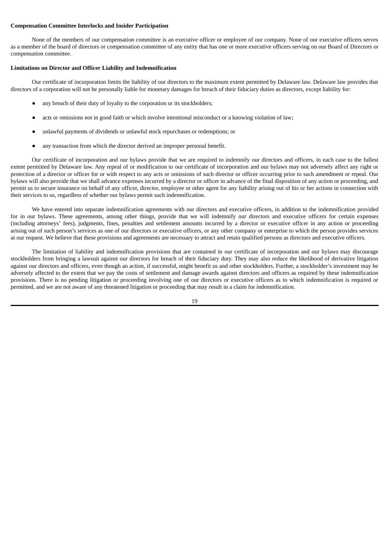# **Compensation Committee Interlocks and Insider Participation**

None of the members of our compensation committee is an executive officer or employee of our company. None of our executive officers serves as a member of the board of directors or compensation committee of any entity that has one or more executive officers serving on our Board of Directors or compensation committee.

# **Limitations on Director and Officer Liability and Indemnification**

Our certificate of incorporation limits the liability of our directors to the maximum extent permitted by Delaware law. Delaware law provides that directors of a corporation will not be personally liable for monetary damages for breach of their fiduciary duties as directors, except liability for:

- any breach of their duty of loyalty to the corporation or its stockholders;
- acts or omissions not in good faith or which involve intentional misconduct or a knowing violation of law;
- unlawful payments of dividends or unlawful stock repurchases or redemptions; or
- any transaction from which the director derived an improper personal benefit.

Our certificate of incorporation and our bylaws provide that we are required to indemnify our directors and officers, in each case to the fullest extent permitted by Delaware law. Any repeal of or modification to our certificate of incorporation and our bylaws may not adversely affect any right or protection of a director or officer for or with respect to any acts or omissions of such director or officer occurring prior to such amendment or repeal. Our bylaws will also provide that we shall advance expenses incurred by a director or officer in advance of the final disposition of any action or proceeding, and permit us to secure insurance on behalf of any officer, director, employee or other agent for any liability arising out of his or her actions in connection with their services to us, regardless of whether our bylaws permit such indemnification.

We have entered into separate indemnification agreements with our directors and executive officers, in addition to the indemnification provided for in our bylaws. These agreements, among other things, provide that we will indemnify our directors and executive officers for certain expenses (including attorneys' fees), judgments, fines, penalties and settlement amounts incurred by a director or executive officer in any action or proceeding arising out of such person's services as one of our directors or executive officers, or any other company or enterprise to which the person provides services at our request. We believe that these provisions and agreements are necessary to attract and retain qualified persons as directors and executive officers.

The limitation of liability and indemnification provisions that are contained in our certificate of incorporation and our bylaws may discourage stockholders from bringing a lawsuit against our directors for breach of their fiduciary duty. They may also reduce the likelihood of derivative litigation against our directors and officers, even though an action, if successful, might benefit us and other stockholders. Further, a stockholder's investment may be adversely affected to the extent that we pay the costs of settlement and damage awards against directors and officers as required by these indemnification provisions. There is no pending litigation or proceeding involving one of our directors or executive officers as to which indemnification is required or permitted, and we are not aware of any threatened litigation or proceeding that may result in a claim for indemnification.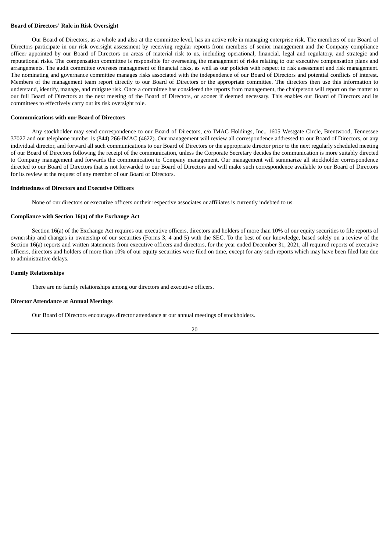## **Board of Directors' Role in Risk Oversight**

Our Board of Directors, as a whole and also at the committee level, has an active role in managing enterprise risk. The members of our Board of Directors participate in our risk oversight assessment by receiving regular reports from members of senior management and the Company compliance officer appointed by our Board of Directors on areas of material risk to us, including operational, financial, legal and regulatory, and strategic and reputational risks. The compensation committee is responsible for overseeing the management of risks relating to our executive compensation plans and arrangements. The audit committee oversees management of financial risks, as well as our policies with respect to risk assessment and risk management. The nominating and governance committee manages risks associated with the independence of our Board of Directors and potential conflicts of interest. Members of the management team report directly to our Board of Directors or the appropriate committee. The directors then use this information to understand, identify, manage, and mitigate risk. Once a committee has considered the reports from management, the chairperson will report on the matter to our full Board of Directors at the next meeting of the Board of Directors, or sooner if deemed necessary. This enables our Board of Directors and its committees to effectively carry out its risk oversight role.

# **Communications with our Board of Directors**

Any stockholder may send correspondence to our Board of Directors, c/o IMAC Holdings, Inc., 1605 Westgate Circle, Brentwood, Tennessee 37027 and our telephone number is (844) 266-IMAC (4622). Our management will review all correspondence addressed to our Board of Directors, or any individual director, and forward all such communications to our Board of Directors or the appropriate director prior to the next regularly scheduled meeting of our Board of Directors following the receipt of the communication, unless the Corporate Secretary decides the communication is more suitably directed to Company management and forwards the communication to Company management. Our management will summarize all stockholder correspondence directed to our Board of Directors that is not forwarded to our Board of Directors and will make such correspondence available to our Board of Directors for its review at the request of any member of our Board of Directors.

# **Indebtedness of Directors and Executive Officers**

None of our directors or executive officers or their respective associates or affiliates is currently indebted to us.

#### **Compliance with Section 16(a) of the Exchange Act**

Section 16(a) of the Exchange Act requires our executive officers, directors and holders of more than 10% of our equity securities to file reports of ownership and changes in ownership of our securities (Forms 3, 4 and 5) with the SEC. To the best of our knowledge, based solely on a review of the Section 16(a) reports and written statements from executive officers and directors, for the year ended December 31, 2021, all required reports of executive officers, directors and holders of more than 10% of our equity securities were filed on time, except for any such reports which may have been filed late due to administrative delays.

#### **Family Relationships**

There are no family relationships among our directors and executive officers.

#### **Director Attendance at Annual Meetings**

Our Board of Directors encourages director attendance at our annual meetings of stockholders.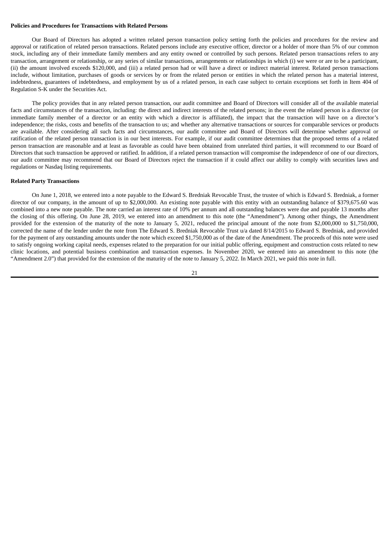# **Policies and Procedures for Transactions with Related Persons**

Our Board of Directors has adopted a written related person transaction policy setting forth the policies and procedures for the review and approval or ratification of related person transactions. Related persons include any executive officer, director or a holder of more than 5% of our common stock, including any of their immediate family members and any entity owned or controlled by such persons. Related person transactions refers to any transaction, arrangement or relationship, or any series of similar transactions, arrangements or relationships in which (i) we were or are to be a participant, (ii) the amount involved exceeds \$120,000, and (iii) a related person had or will have a direct or indirect material interest. Related person transactions include, without limitation, purchases of goods or services by or from the related person or entities in which the related person has a material interest, indebtedness, guarantees of indebtedness, and employment by us of a related person, in each case subject to certain exceptions set forth in Item 404 of Regulation S-K under the Securities Act.

The policy provides that in any related person transaction, our audit committee and Board of Directors will consider all of the available material facts and circumstances of the transaction, including: the direct and indirect interests of the related persons; in the event the related person is a director (or immediate family member of a director or an entity with which a director is affiliated), the impact that the transaction will have on a director's independence; the risks, costs and benefits of the transaction to us; and whether any alternative transactions or sources for comparable services or products are available. After considering all such facts and circumstances, our audit committee and Board of Directors will determine whether approval or ratification of the related person transaction is in our best interests. For example, if our audit committee determines that the proposed terms of a related person transaction are reasonable and at least as favorable as could have been obtained from unrelated third parties, it will recommend to our Board of Directors that such transaction be approved or ratified. In addition, if a related person transaction will compromise the independence of one of our directors, our audit committee may recommend that our Board of Directors reject the transaction if it could affect our ability to comply with securities laws and regulations or Nasdaq listing requirements.

#### **Related Party Transactions**

On June 1, 2018, we entered into a note payable to the Edward S. Bredniak Revocable Trust, the trustee of which is Edward S. Bredniak, a former director of our company, in the amount of up to \$2,000,000. An existing note payable with this entity with an outstanding balance of \$379,675.60 was combined into a new note payable. The note carried an interest rate of 10% per annum and all outstanding balances were due and payable 13 months after the closing of this offering. On June 28, 2019, we entered into an amendment to this note (the "Amendment"). Among other things, the Amendment provided for the extension of the maturity of the note to January 5, 2021, reduced the principal amount of the note from \$2,000,000 to \$1,750,000, corrected the name of the lender under the note from The Edward S. Bredniak Revocable Trust u/a dated 8/14/2015 to Edward S. Bredniak, and provided for the payment of any outstanding amounts under the note which exceed \$1,750,000 as of the date of the Amendment. The proceeds of this note were used to satisfy ongoing working capital needs, expenses related to the preparation for our initial public offering, equipment and construction costs related to new clinic locations, and potential business combination and transaction expenses. In November 2020, we entered into an amendment to this note (the "Amendment 2.0") that provided for the extension of the maturity of the note to January 5, 2022. In March 2021, we paid this note in full.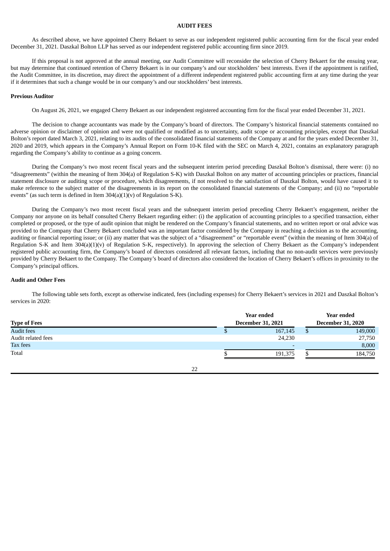## **AUDIT FEES**

As described above, we have appointed Cherry Bekaert to serve as our independent registered public accounting firm for the fiscal year ended December 31, 2021. Daszkal Bolton LLP has served as our independent registered public accounting firm since 2019.

If this proposal is not approved at the annual meeting, our Audit Committee will reconsider the selection of Cherry Bekaert for the ensuing year, but may determine that continued retention of Cherry Bekaert is in our company's and our stockholders' best interests. Even if the appointment is ratified, the Audit Committee, in its discretion, may direct the appointment of a different independent registered public accounting firm at any time during the year if it determines that such a change would be in our company's and our stockholders' best interests.

# **Previous Auditor**

On August 26, 2021, we engaged Cherry Bekaert as our independent registered accounting firm for the fiscal year ended December 31, 2021.

The decision to change accountants was made by the Company's board of directors. The Company's historical financial statements contained no adverse opinion or disclaimer of opinion and were not qualified or modified as to uncertainty, audit scope or accounting principles, except that Daszkal Bolton's report dated March 3, 2021, relating to its audits of the consolidated financial statements of the Company at and for the years ended December 31, 2020 and 2019, which appears in the Company's Annual Report on Form 10-K filed with the SEC on March 4, 2021, contains an explanatory paragraph regarding the Company's ability to continue as a going concern.

During the Company's two most recent fiscal years and the subsequent interim period preceding Daszkal Bolton's dismissal, there were: (i) no "disagreements" (within the meaning of Item 304(a) of Regulation S-K) with Daszkal Bolton on any matter of accounting principles or practices, financial statement disclosure or auditing scope or procedure, which disagreements, if not resolved to the satisfaction of Daszkal Bolton, would have caused it to make reference to the subject matter of the disagreements in its report on the consolidated financial statements of the Company; and (ii) no "reportable events" (as such term is defined in Item 304(a)(1)(v) of Regulation S-K).

During the Company's two most recent fiscal years and the subsequent interim period preceding Cherry Bekaert's engagement, neither the Company nor anyone on its behalf consulted Cherry Bekaert regarding either: (i) the application of accounting principles to a specified transaction, either completed or proposed, or the type of audit opinion that might be rendered on the Company's financial statements, and no written report or oral advice was provided to the Company that Cherry Bekaert concluded was an important factor considered by the Company in reaching a decision as to the accounting, auditing or financial reporting issue; or (ii) any matter that was the subject of a "disagreement" or "reportable event" (within the meaning of Item 304(a) of Regulation S-K and Item 304(a)(1)(v) of Regulation S-K, respectively). In approving the selection of Cherry Bekaert as the Company's independent registered public accounting firm, the Company's board of directors considered all relevant factors, including that no non-audit services were previously provided by Cherry Bekaert to the Company. The Company's board of directors also considered the location of Cherry Bekaert's offices in proximity to the Company's principal offices.

## **Audit and Other Fees**

The following table sets forth, except as otherwise indicated, fees (including expenses) for Cherry Bekaert's services in 2021 and Daszkal Bolton's services in 2020:

|                     | Year ended | Year ended               |                          |         |  |
|---------------------|------------|--------------------------|--------------------------|---------|--|
| <b>Type of Fees</b> |            | <b>December 31, 2021</b> | <b>December 31, 2020</b> |         |  |
| <b>Audit fees</b>   |            | 167,145                  |                          | 149,000 |  |
| Audit related fees  |            | 24,230                   |                          | 27,750  |  |
| <b>Tax fees</b>     |            | $\overline{\phantom{0}}$ |                          | 8,000   |  |
| Total               |            | 191,375                  |                          | 184,750 |  |
|                     |            |                          |                          |         |  |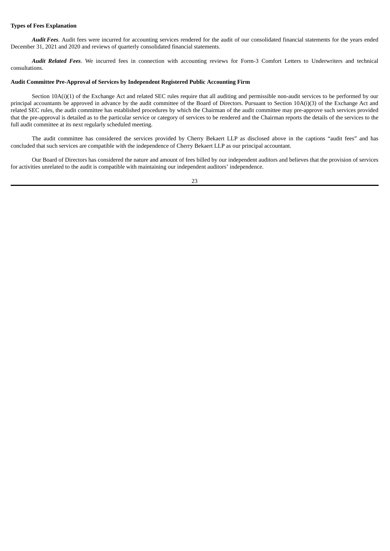# **Types of Fees Explanation**

*Audit Fees*. Audit fees were incurred for accounting services rendered for the audit of our consolidated financial statements for the years ended December 31, 2021 and 2020 and reviews of quarterly consolidated financial statements.

*Audit Related Fees*. We incurred fees in connection with accounting reviews for Form-3 Comfort Letters to Underwriters and technical consultations.

# **Audit Committee Pre-Approval of Services by Independent Registered Public Accounting Firm**

Section 10A(i)(1) of the Exchange Act and related SEC rules require that all auditing and permissible non-audit services to be performed by our principal accountants be approved in advance by the audit committee of the Board of Directors. Pursuant to Section 10A(i)(3) of the Exchange Act and related SEC rules, the audit committee has established procedures by which the Chairman of the audit committee may pre-approve such services provided that the pre-approval is detailed as to the particular service or category of services to be rendered and the Chairman reports the details of the services to the full audit committee at its next regularly scheduled meeting.

The audit committee has considered the services provided by Cherry Bekaert LLP as disclosed above in the captions "audit fees" and has concluded that such services are compatible with the independence of Cherry Bekaert LLP as our principal accountant.

Our Board of Directors has considered the nature and amount of fees billed by our independent auditors and believes that the provision of services for activities unrelated to the audit is compatible with maintaining our independent auditors' independence.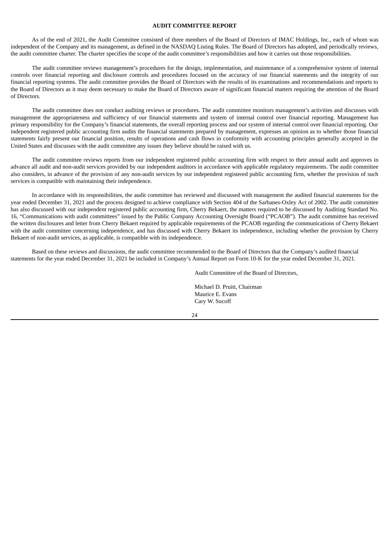# **AUDIT COMMITTEE REPORT**

As of the end of 2021, the Audit Committee consisted of three members of the Board of Directors of IMAC Holdings, Inc., each of whom was independent of the Company and its management, as defined in the NASDAQ Listing Rules. The Board of Directors has adopted, and periodically reviews, the audit committee charter. The charter specifies the scope of the audit committee's responsibilities and how it carries out those responsibilities.

The audit committee reviews management's procedures for the design, implementation, and maintenance of a comprehensive system of internal controls over financial reporting and disclosure controls and procedures focused on the accuracy of our financial statements and the integrity of our financial reporting systems. The audit committee provides the Board of Directors with the results of its examinations and recommendations and reports to the Board of Directors as it may deem necessary to make the Board of Directors aware of significant financial matters requiring the attention of the Board of Directors.

The audit committee does not conduct auditing reviews or procedures. The audit committee monitors management's activities and discusses with management the appropriateness and sufficiency of our financial statements and system of internal control over financial reporting. Management has primary responsibility for the Company's financial statements, the overall reporting process and our system of internal control over financial reporting. Our independent registered public accounting firm audits the financial statements prepared by management, expresses an opinion as to whether those financial statements fairly present our financial position, results of operations and cash flows in conformity with accounting principles generally accepted in the United States and discusses with the audit committee any issues they believe should be raised with us.

The audit committee reviews reports from our independent registered public accounting firm with respect to their annual audit and approves in advance all audit and non-audit services provided by our independent auditors in accordance with applicable regulatory requirements. The audit committee also considers, in advance of the provision of any non-audit services by our independent registered public accounting firm, whether the provision of such services is compatible with maintaining their independence.

In accordance with its responsibilities, the audit committee has reviewed and discussed with management the audited financial statements for the year ended December 31, 2021 and the process designed to achieve compliance with Section 404 of the Sarbanes-Oxley Act of 2002. The audit committee has also discussed with our independent registered public accounting firm, Cherry Bekaert, the matters required to be discussed by Auditing Standard No. 16, "Communications with audit committees" issued by the Public Company Accounting Oversight Board ("PCAOB"). The audit committee has received the written disclosures and letter from Cherry Bekaert required by applicable requirements of the PCAOB regarding the communications of Cherry Bekaert with the audit committee concerning independence, and has discussed with Cherry Bekaert its independence, including whether the provision by Cherry Bekaert of non-audit services, as applicable, is compatible with its independence.

Based on these reviews and discussions, the audit committee recommended to the Board of Directors that the Company's audited financial statements for the year ended December 31, 2021 be included in Company's Annual Report on Form 10-K for the year ended December 31, 2021.

Audit Committee of the Board of Directors,

Michael D. Pruitt, Chairman Maurice E. Evans Cary W. Sucoff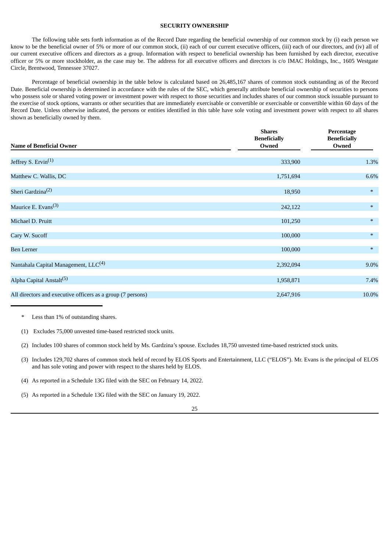# **SECURITY OWNERSHIP**

The following table sets forth information as of the Record Date regarding the beneficial ownership of our common stock by (i) each person we know to be the beneficial owner of 5% or more of our common stock, (ii) each of our current executive officers, (iii) each of our directors, and (iv) all of our current executive officers and directors as a group. Information with respect to beneficial ownership has been furnished by each director, executive officer or 5% or more stockholder, as the case may be. The address for all executive officers and directors is c/o IMAC Holdings, Inc., 1605 Westgate Circle, Brentwood, Tennessee 37027.

Percentage of beneficial ownership in the table below is calculated based on 26,485,167 shares of common stock outstanding as of the Record Date. Beneficial ownership is determined in accordance with the rules of the SEC, which generally attribute beneficial ownership of securities to persons who possess sole or shared voting power or investment power with respect to those securities and includes shares of our common stock issuable pursuant to the exercise of stock options, warrants or other securities that are immediately exercisable or convertible or exercisable or convertible within 60 days of the Record Date. Unless otherwise indicated, the persons or entities identified in this table have sole voting and investment power with respect to all shares shown as beneficially owned by them.

| <b>Name of Beneficial Owner</b>                             | <b>Shares</b><br><b>Beneficially</b><br>Owned | Percentage<br><b>Beneficially</b><br>Owned |  |
|-------------------------------------------------------------|-----------------------------------------------|--------------------------------------------|--|
| Jeffrey S. Ervin <sup>(1)</sup>                             | 333,900                                       | 1.3%                                       |  |
| Matthew C. Wallis, DC                                       | 1,751,694                                     | 6.6%                                       |  |
| Sheri Gardzina <sup>(2)</sup>                               | 18,950                                        | $\ast$                                     |  |
| Maurice E. Evans <sup>(3)</sup>                             | 242,122                                       | $\ast$                                     |  |
| Michael D. Pruitt                                           | 101,250                                       | $\ast$                                     |  |
| Cary W. Sucoff                                              | 100,000                                       | $\ast$                                     |  |
| <b>Ben Lerner</b>                                           | 100,000                                       | $*$                                        |  |
| Nantahala Capital Management, LLC <sup>(4)</sup>            | 2,392,094                                     | 9.0%                                       |  |
| Alpha Capital Anstalt <sup>(5)</sup>                        | 1,958,871                                     | 7.4%                                       |  |
| All directors and executive officers as a group (7 persons) | 2,647,916                                     | 10.0%                                      |  |

<sup>\*</sup> Less than 1% of outstanding shares.

(3) Includes 129,702 shares of common stock held of record by ELOS Sports and Entertainment, LLC ("ELOS"). Mr. Evans is the principal of ELOS and has sole voting and power with respect to the shares held by ELOS.

<sup>(1)</sup> Excludes 75,000 unvested time-based restricted stock units.

<sup>(2)</sup> Includes 100 shares of common stock held by Ms. Gardzina's spouse. Excludes 18,750 unvested time-based restricted stock units.

<sup>(4)</sup> As reported in a Schedule 13G filed with the SEC on February 14, 2022.

<sup>(5)</sup> As reported in a Schedule 13G filed with the SEC on January 19, 2022.

<sup>25</sup>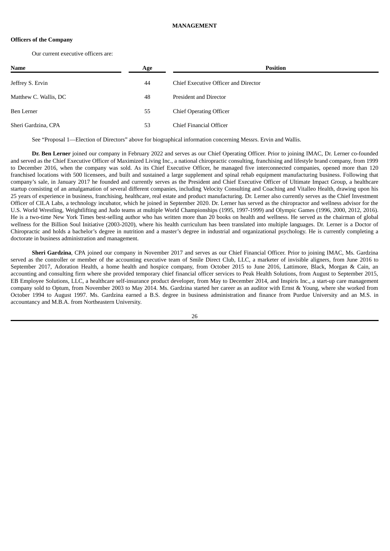#### **MANAGEMENT**

# **Officers of the Company**

Our current executive officers are:

| <b>Name</b>           | Age | <b>Position</b>                      |
|-----------------------|-----|--------------------------------------|
| Jeffrey S. Ervin      | 44  | Chief Executive Officer and Director |
| Matthew C. Wallis, DC | 48  | President and Director               |
| Ben Lerner            | 55  | <b>Chief Operating Officer</b>       |
| Sheri Gardzina, CPA   | 53  | Chief Financial Officer              |

See "Proposal 1—Election of Directors" above for biographical information concerning Messrs. Ervin and Wallis.

**Dr. Ben Lerner** joined our company in February 2022 and serves as our Chief Operating Officer. Prior to joining IMAC, Dr. Lerner co-founded and served as the Chief Executive Officer of Maximized Living Inc., a national chiropractic consulting, franchising and lifestyle brand company, from 1999 to December 2016, when the company was sold. As its Chief Executive Officer, he managed five interconnected companies, opened more than 120 franchised locations with 500 licensees, and built and sustained a large supplement and spinal rehab equipment manufacturing business. Following that company's sale, in January 2017 he founded and currently serves as the President and Chief Executive Officer of Ultimate Impact Group, a healthcare startup consisting of an amalgamation of several different companies, including Velocity Consulting and Coaching and Vitalleo Health, drawing upon his 25 years of experience in business, franchising, healthcare, real estate and product manufacturing. Dr. Lerner also currently serves as the Chief Investment Officer of CILA Labs, a technology incubator, which he joined in September 2020. Dr. Lerner has served as the chiropractor and wellness advisor for the U.S. World Wrestling, Weightlifting and Judo teams at multiple World Championships (1995, 1997-1999) and Olympic Games (1996, 2000, 2012, 2016). He is a two-time New York Times best-selling author who has written more than 20 books on health and wellness. He served as the chairman of global wellness for the Billion Soul Initiative (2003-2020), where his health curriculum has been translated into multiple languages. Dr. Lerner is a Doctor of Chiropractic and holds a bachelor's degree in nutrition and a master's degree in industrial and organizational psychology. He is currently completing a doctorate in business administration and management.

**Sheri Gardzina**, CPA joined our company in November 2017 and serves as our Chief Financial Officer. Prior to joining IMAC, Ms. Gardzina served as the controller or member of the accounting executive team of Smile Direct Club, LLC, a marketer of invisible aligners, from June 2016 to September 2017, Adoration Health, a home health and hospice company, from October 2015 to June 2016, Lattimore, Black, Morgan & Cain, an accounting and consulting firm where she provided temporary chief financial officer services to Peak Health Solutions, from August to September 2015, EB Employee Solutions, LLC, a healthcare self-insurance product developer, from May to December 2014, and Inspiris Inc., a start-up care management company sold to Optum, from November 2003 to May 2014. Ms. Gardzina started her career as an auditor with Ernst & Young, where she worked from October 1994 to August 1997. Ms. Gardzina earned a B.S. degree in business administration and finance from Purdue University and an M.S. in accountancy and M.B.A. from Northeastern University.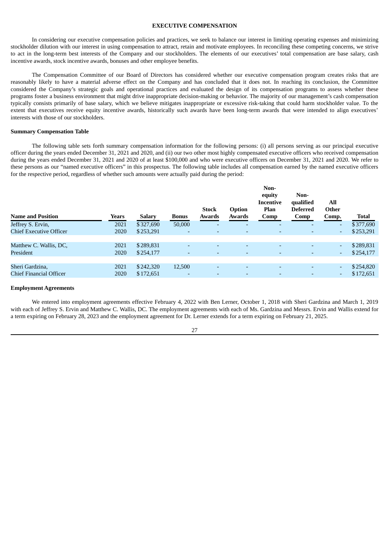## **EXECUTIVE COMPENSATION**

In considering our executive compensation policies and practices, we seek to balance our interest in limiting operating expenses and minimizing stockholder dilution with our interest in using compensation to attract, retain and motivate employees. In reconciling these competing concerns, we strive to act in the long-term best interests of the Company and our stockholders. The elements of our executives' total compensation are base salary, cash incentive awards, stock incentive awards, bonuses and other employee benefits.

The Compensation Committee of our Board of Directors has considered whether our executive compensation program creates risks that are reasonably likely to have a material adverse effect on the Company and has concluded that it does not. In reaching its conclusion, the Committee considered the Company's strategic goals and operational practices and evaluated the design of its compensation programs to assess whether these programs foster a business environment that might drive inappropriate decision-making or behavior. The majority of our management's cash compensation typically consists primarily of base salary, which we believe mitigates inappropriate or excessive risk-taking that could harm stockholder value. To the extent that executives receive equity incentive awards, historically such awards have been long-term awards that were intended to align executives' interests with those of our stockholders.

# **Summary Compensation Table**

The following table sets forth summary compensation information for the following persons: (i) all persons serving as our principal executive officer during the years ended December 31, 2021 and 2020, and (ii) our two other most highly compensated executive officers who received compensation during the years ended December 31, 2021 and 2020 of at least \$100,000 and who were executive officers on December 31, 2021 and 2020. We refer to these persons as our "named executive officers" in this prospectus. The following table includes all compensation earned by the named executive officers for the respective period, regardless of whether such amounts were actually paid during the period:

| <b>Name and Position</b>       | Years | Salary    | <b>Bonus</b> | <b>Stock</b><br>Awards   | Option<br>Awards         | Non-<br>equity<br>Incentive<br>Plan<br>Comp | Non-<br>qualified<br><b>Deferred</b><br>Comp | All<br>Other<br>Comp.    | <b>Total</b> |
|--------------------------------|-------|-----------|--------------|--------------------------|--------------------------|---------------------------------------------|----------------------------------------------|--------------------------|--------------|
| Jeffrey S. Ervin,              | 2021  | \$327,690 | 50,000       | ٠                        | ٠                        | -                                           | $\overline{\phantom{a}}$                     | ٠                        | \$377,690    |
| <b>Chief Executive Officer</b> | 2020  | \$253,291 | ۰            | $\overline{\phantom{a}}$ | ۰                        | ۰                                           | $\overline{\phantom{a}}$                     | $\overline{\phantom{a}}$ | \$253,291    |
|                                |       |           |              |                          |                          |                                             |                                              |                          |              |
| Matthew C. Wallis, DC,         | 2021  | \$289,831 | ٠            | $\overline{\phantom{0}}$ | $\overline{\phantom{0}}$ | $\overline{\phantom{0}}$                    | $\overline{a}$                               | $\overline{\phantom{a}}$ | \$289,831    |
| President                      | 2020  | \$254,177 | ٠            | $\overline{\phantom{0}}$ | $\overline{\phantom{a}}$ |                                             |                                              | $\overline{\phantom{a}}$ | \$254,177    |
|                                |       |           |              |                          |                          |                                             |                                              |                          |              |
| Sheri Gardzina,                | 2021  | \$242,320 | 12,500       | $\overline{\phantom{0}}$ | $\overline{\phantom{0}}$ | $\overline{\phantom{0}}$                    | $\overline{\phantom{0}}$                     | $\overline{\phantom{a}}$ | \$254,820    |
| Chief Financial Officer        | 2020  | \$172,651 | ٠            | ٠                        | $\overline{\phantom{a}}$ | ۰                                           | $\overline{\phantom{a}}$                     | $\overline{\phantom{a}}$ | \$172,651    |
|                                |       |           |              |                          |                          |                                             |                                              |                          |              |

#### **Employment Agreements**

We entered into employment agreements effective February 4, 2022 with Ben Lerner, October 1, 2018 with Sheri Gardzina and March 1, 2019 with each of Jeffrey S. Ervin and Matthew C. Wallis, DC. The employment agreements with each of Ms. Gardzina and Messrs. Ervin and Wallis extend for a term expiring on February 28, 2023 and the employment agreement for Dr. Lerner extends for a term expiring on February 21, 2025.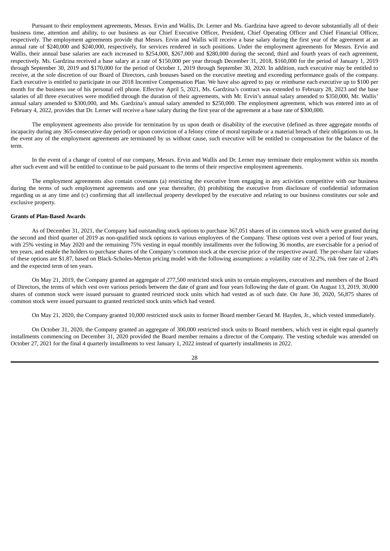Pursuant to their employment agreements, Messrs. Ervin and Wallis, Dr. Lerner and Ms. Gardzina have agreed to devote substantially all of their business time, attention and ability, to our business as our Chief Executive Officer, President, Chief Operating Officer and Chief Financial Officer, respectively. The employment agreements provide that Messrs. Ervin and Wallis will receive a base salary during the first year of the agreement at an annual rate of \$240,000 and \$240,000, respectively, for services rendered in such positions. Under the employment agreements for Messrs. Ervin and Wallis, their annual base salaries are each increased to \$254,000, \$267,000 and \$280,000 during the second, third and fourth years of each agreement, respectively. Ms. Gardzina received a base salary at a rate of \$150,000 per year through December 31, 2018, \$160,000 for the period of January 1, 2019 through September 30, 2019 and \$170,000 for the period of October 1, 2019 through September 30, 2020. In addition, each executive may be entitled to receive, at the sole discretion of our Board of Directors, cash bonuses based on the executive meeting and exceeding performance goals of the company. Each executive is entitled to participate in our 2018 Incentive Compensation Plan. We have also agreed to pay or reimburse each executive up to \$100 per month for the business use of his personal cell phone. Effective April 5, 2021, Ms. Gardzina's contract was extended to February 28, 2023 and the base salaries of all three executives were modified through the duration of their agreements, with Mr. Ervin's annual salary amended to \$350,000, Mr. Wallis' annual salary amended to \$300,000, and Ms. Gardzina's annual salary amended to \$250,000. The employment agreement, which was entered into as of February 4, 2022, provides that Dr. Lerner will receive a base salary during the first year of the agreement at a base rate of \$300,000.

The employment agreements also provide for termination by us upon death or disability of the executive (defined as three aggregate months of incapacity during any 365-consecutive day period) or upon conviction of a felony crime of moral turpitude or a material breach of their obligations to us. In the event any of the employment agreements are terminated by us without cause, such executive will be entitled to compensation for the balance of the term.

In the event of a change of control of our company, Messrs. Ervin and Wallis and Dr. Lerner may terminate their employment within six months after such event and will be entitled to continue to be paid pursuant to the terms of their respective employment agreements.

The employment agreements also contain covenants (a) restricting the executive from engaging in any activities competitive with our business during the terms of such employment agreements and one year thereafter, (b) prohibiting the executive from disclosure of confidential information regarding us at any time and (c) confirming that all intellectual property developed by the executive and relating to our business constitutes our sole and exclusive property.

#### **Grants of Plan-Based Awards**

As of December 31, 2021, the Company had outstanding stock options to purchase 367,051 shares of its common stock which were granted during the second and third quarter of 2019 as non-qualified stock options to various employees of the Company. These options vest over a period of four years, with 25% vesting in May 2020 and the remaining 75% vesting in equal monthly installments over the following 36 months, are exercisable for a period of ten years, and enable the holders to purchase shares of the Company's common stock at the exercise price of the respective award. The per-share fair values of these options are \$1.87, based on Black-Scholes-Merton pricing model with the following assumptions: a volatility rate of 32.2%, risk free rate of 2.4% and the expected term of ten years.

On May 21, 2019, the Company granted an aggregate of 277,500 restricted stock units to certain employees, executives and members of the Board of Directors, the terms of which vest over various periods between the date of grant and four years following the date of grant. On August 13, 2019, 30,000 shares of common stock were issued pursuant to granted restricted stock units which had vested as of such date. On June 30, 2020, 56,875 shares of common stock were issued pursuant to granted restricted stock units which had vested.

On May 21, 2020, the Company granted 10,000 restricted stock units to former Board member Gerard M. Hayden, Jr., which vested immediately.

On October 31, 2020, the Company granted an aggregate of 300,000 restricted stock units to Board members, which vest in eight equal quarterly installments commencing on December 31, 2020 provided the Board member remains a director of the Company. The vesting schedule was amended on October 27, 2021 for the final 4 quarterly installments to vest January 1, 2022 instead of quarterly installments in 2022.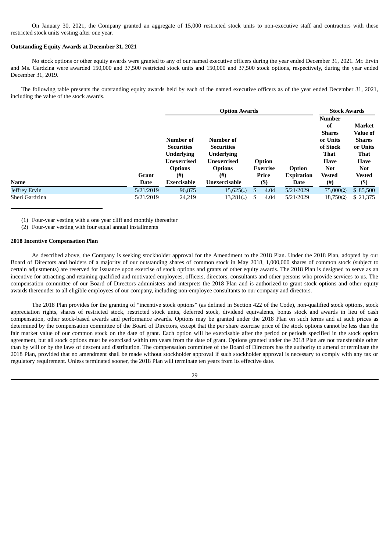On January 30, 2021, the Company granted an aggregate of 15,000 restricted stock units to non-executive staff and contractors with these restricted stock units vesting after one year.

# **Outstanding Equity Awards at December 31, 2021**

No stock options or other equity awards were granted to any of our named executive officers during the year ended December 31, 2021. Mr. Ervin and Ms. Gardzina were awarded 150,000 and 37,500 restricted stock units and 150,000 and 37,500 stock options, respectively, during the year ended December 31, 2019.

The following table presents the outstanding equity awards held by each of the named executive officers as of the year ended December 31, 2021, including the value of the stock awards.

|                |                      |                                                                                             | <b>Stock Awards</b>                                                                         |                           |                 |                                  |                                                                                                          |                                                                                      |
|----------------|----------------------|---------------------------------------------------------------------------------------------|---------------------------------------------------------------------------------------------|---------------------------|-----------------|----------------------------------|----------------------------------------------------------------------------------------------------------|--------------------------------------------------------------------------------------|
|                |                      | Number of<br><b>Securities</b><br><b>Underlying</b><br><b>Unexercised</b><br><b>Options</b> | Number of<br><b>Securities</b><br><b>Underlying</b><br><b>Unexercised</b><br><b>Options</b> | Option<br><b>Exercise</b> |                 | Option                           | <b>Number</b><br>of<br><b>Shares</b><br>or Units<br>of Stock<br><b>That</b><br><b>Have</b><br><b>Not</b> | Market<br><b>Value of</b><br><b>Shares</b><br>or Units<br><b>That</b><br><b>Have</b> |
| <b>Name</b>    | <b>Grant</b><br>Date | (# )<br>Exercisable                                                                         | $^{(#)}$<br>Unexercisable                                                                   |                           | Price<br>$($ \$ | <b>Expiration</b><br><b>Date</b> | <b>Vested</b><br>(#)                                                                                     | <b>Not</b><br><b>Vested</b><br>$($ \$                                                |
| Jeffrey Ervin  | 5/21/2019            | 96,875                                                                                      | 15,625(1)                                                                                   | \$                        | 4.04            | 5/21/2029                        | 75,000(2)                                                                                                | \$85,500                                                                             |
| Sheri Gardzina | 5/21/2019            | 24,219                                                                                      | 13,281(1)                                                                                   | S                         | 4.04            | 5/21/2029                        | 18,750(2)                                                                                                | \$21,375                                                                             |

(1) Four-year vesting with a one year cliff and monthly thereafter

(2) Four-year vesting with four equal annual installments

# **2018 Incentive Compensation Plan**

As described above, the Company is seeking stockholder approval for the Amendment to the 2018 Plan. Under the 2018 Plan, adopted by our Board of Directors and holders of a majority of our outstanding shares of common stock in May 2018, 1,000,000 shares of common stock (subject to certain adjustments) are reserved for issuance upon exercise of stock options and grants of other equity awards. The 2018 Plan is designed to serve as an incentive for attracting and retaining qualified and motivated employees, officers, directors, consultants and other persons who provide services to us. The compensation committee of our Board of Directors administers and interprets the 2018 Plan and is authorized to grant stock options and other equity awards thereunder to all eligible employees of our company, including non-employee consultants to our company and directors.

The 2018 Plan provides for the granting of "incentive stock options" (as defined in Section 422 of the Code), non-qualified stock options, stock appreciation rights, shares of restricted stock, restricted stock units, deferred stock, dividend equivalents, bonus stock and awards in lieu of cash compensation, other stock-based awards and performance awards. Options may be granted under the 2018 Plan on such terms and at such prices as determined by the compensation committee of the Board of Directors, except that the per share exercise price of the stock options cannot be less than the fair market value of our common stock on the date of grant. Each option will be exercisable after the period or periods specified in the stock option agreement, but all stock options must be exercised within ten years from the date of grant. Options granted under the 2018 Plan are not transferable other than by will or by the laws of descent and distribution. The compensation committee of the Board of Directors has the authority to amend or terminate the 2018 Plan, provided that no amendment shall be made without stockholder approval if such stockholder approval is necessary to comply with any tax or regulatory requirement. Unless terminated sooner, the 2018 Plan will terminate ten years from its effective date.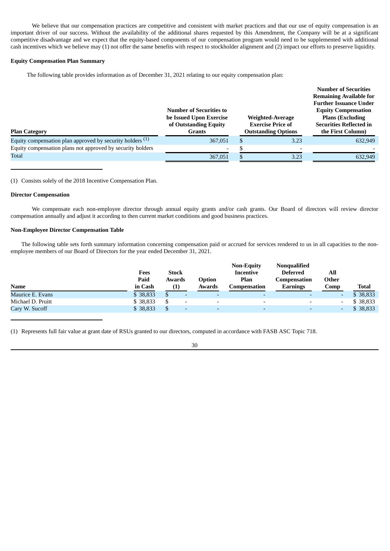We believe that our compensation practices are competitive and consistent with market practices and that our use of equity compensation is an important driver of our success. Without the availability of the additional shares requested by this Amendment, the Company will be at a significant competitive disadvantage and we expect that the equity-based components of our compensation program would need to be supplemented with additional cash incentives which we believe may (1) not offer the same benefits with respect to stockholder alignment and (2) impact our efforts to preserve liquidity.

# **Equity Compensation Plan Summary**

The following table provides information as of December 31, 2021 relating to our equity compensation plan:

|                                                             |                                |                            | <b>Number of Securities</b>    |  |
|-------------------------------------------------------------|--------------------------------|----------------------------|--------------------------------|--|
|                                                             |                                |                            | <b>Remaining Available for</b> |  |
|                                                             |                                |                            | <b>Further Issuance Under</b>  |  |
|                                                             | <b>Number of Securities to</b> |                            | <b>Equity Compensation</b>     |  |
|                                                             | be Issued Upon Exercise        | Weighted-Average           | <b>Plans (Excluding)</b>       |  |
|                                                             | of Outstanding Equity          | <b>Exercise Price of</b>   | <b>Securities Reflected in</b> |  |
| <b>Plan Category</b>                                        | <b>Grants</b>                  | <b>Outstanding Options</b> | the First Column)              |  |
| Equity compensation plan approved by security holders $(1)$ | 367,051                        | 3.23                       | 632,949                        |  |
| Equity compensation plans not approved by security holders  | $\overline{\phantom{0}}$       |                            |                                |  |
| Total                                                       | 367,051                        | 3.23                       | 632,949                        |  |

(1) Consists solely of the 2018 Incentive Compensation Plan.

# **Director Compensation**

We compensate each non-employee director through annual equity grants and/or cash grants. Our Board of directors will review director compensation annually and adjust it according to then current market conditions and good business practices.

# **Non-Employee Director Compensation Table**

The following table sets forth summary information concerning compensation paid or accrued for services rendered to us in all capacities to the nonemployee members of our Board of Directors for the year ended December 31, 2021.

|                   | Fees<br>Paid | <b>Stock</b><br>Awards   | Option                   | <b>Non-Equity</b><br>Incentive<br>Plan | Nonqualified<br><b>Deferred</b><br>Compensation | All<br>Other             |              |
|-------------------|--------------|--------------------------|--------------------------|----------------------------------------|-------------------------------------------------|--------------------------|--------------|
| <b>Name</b>       | in Cash      | (1)                      | Awards                   | Compensation                           | Earnings                                        | Comp                     | <b>Total</b> |
| Maurice E. Evans  | \$38,833     |                          | $\overline{\phantom{0}}$ |                                        |                                                 | $\overline{\phantom{0}}$ | \$38,833     |
| Michael D. Pruitt | \$38,833     | $\overline{\phantom{0}}$ | $\overline{\phantom{0}}$ |                                        |                                                 | $\overline{\phantom{a}}$ | \$38,833     |
| Cary W. Sucoff    | \$38,833     | $\overline{\phantom{0}}$ | $\overline{\phantom{0}}$ |                                        |                                                 | ٠                        | \$38,833     |

(1) Represents full fair value at grant date of RSUs granted to our directors, computed in accordance with FASB ASC Topic 718.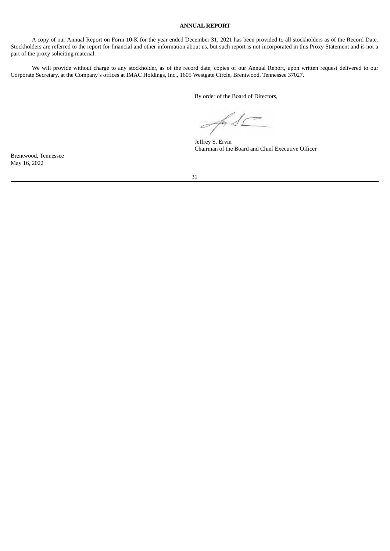# **ANNUAL REPORT**

A copy of our Annual Report on Form 10-K for the year ended December 31, 2021 has been provided to all stockholders as of the Record Date. Stockholders are referred to the report for financial and other information about us, but such report is not incorporated in this Proxy Statement and is not a part of the proxy soliciting material.

We will provide without charge to any stockholder, as of the record date, copies of our Annual Report, upon written request delivered to our Corporate Secretary, at the Company's offices at IMAC Holdings, Inc., 1605 Westgate Circle, Brentwood, Tennessee 37027.

By order of the Board of Directors,

An S

Jeffrey S. Ervin Chairman of the Board and Chief Executive Officer

Brentwood, Tennessee May 16, 2022